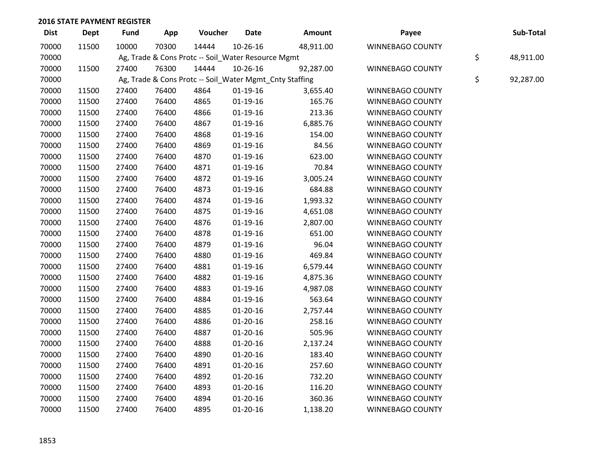| <b>Dist</b> | <b>Dept</b> | Fund  | App   | Voucher                                            | <b>Date</b>    | Amount                                                  | Payee                   | Sub-Total       |
|-------------|-------------|-------|-------|----------------------------------------------------|----------------|---------------------------------------------------------|-------------------------|-----------------|
| 70000       | 11500       | 10000 | 70300 | 14444                                              | 10-26-16       | 48,911.00                                               | WINNEBAGO COUNTY        |                 |
| 70000       |             |       |       | Ag, Trade & Cons Protc -- Soil_Water Resource Mgmt |                |                                                         |                         | \$<br>48,911.00 |
| 70000       | 11500       | 27400 | 76300 | 14444                                              | 10-26-16       | 92,287.00                                               | WINNEBAGO COUNTY        |                 |
| 70000       |             |       |       |                                                    |                | Ag, Trade & Cons Protc -- Soil_Water Mgmt_Cnty Staffing |                         | \$<br>92,287.00 |
| 70000       | 11500       | 27400 | 76400 | 4864                                               | $01-19-16$     | 3,655.40                                                | WINNEBAGO COUNTY        |                 |
| 70000       | 11500       | 27400 | 76400 | 4865                                               | $01-19-16$     | 165.76                                                  | WINNEBAGO COUNTY        |                 |
| 70000       | 11500       | 27400 | 76400 | 4866                                               | $01-19-16$     | 213.36                                                  | <b>WINNEBAGO COUNTY</b> |                 |
| 70000       | 11500       | 27400 | 76400 | 4867                                               | $01-19-16$     | 6,885.76                                                | WINNEBAGO COUNTY        |                 |
| 70000       | 11500       | 27400 | 76400 | 4868                                               | $01-19-16$     | 154.00                                                  | WINNEBAGO COUNTY        |                 |
| 70000       | 11500       | 27400 | 76400 | 4869                                               | $01-19-16$     | 84.56                                                   | <b>WINNEBAGO COUNTY</b> |                 |
| 70000       | 11500       | 27400 | 76400 | 4870                                               | $01-19-16$     | 623.00                                                  | WINNEBAGO COUNTY        |                 |
| 70000       | 11500       | 27400 | 76400 | 4871                                               | $01-19-16$     | 70.84                                                   | WINNEBAGO COUNTY        |                 |
| 70000       | 11500       | 27400 | 76400 | 4872                                               | $01-19-16$     | 3,005.24                                                | WINNEBAGO COUNTY        |                 |
| 70000       | 11500       | 27400 | 76400 | 4873                                               | $01-19-16$     | 684.88                                                  | WINNEBAGO COUNTY        |                 |
| 70000       | 11500       | 27400 | 76400 | 4874                                               | $01-19-16$     | 1,993.32                                                | WINNEBAGO COUNTY        |                 |
| 70000       | 11500       | 27400 | 76400 | 4875                                               | $01-19-16$     | 4,651.08                                                | WINNEBAGO COUNTY        |                 |
| 70000       | 11500       | 27400 | 76400 | 4876                                               | $01-19-16$     | 2,807.00                                                | WINNEBAGO COUNTY        |                 |
| 70000       | 11500       | 27400 | 76400 | 4878                                               | $01-19-16$     | 651.00                                                  | <b>WINNEBAGO COUNTY</b> |                 |
| 70000       | 11500       | 27400 | 76400 | 4879                                               | $01-19-16$     | 96.04                                                   | WINNEBAGO COUNTY        |                 |
| 70000       | 11500       | 27400 | 76400 | 4880                                               | $01-19-16$     | 469.84                                                  | WINNEBAGO COUNTY        |                 |
| 70000       | 11500       | 27400 | 76400 | 4881                                               | $01-19-16$     | 6,579.44                                                | <b>WINNEBAGO COUNTY</b> |                 |
| 70000       | 11500       | 27400 | 76400 | 4882                                               | $01-19-16$     | 4,875.36                                                | WINNEBAGO COUNTY        |                 |
| 70000       | 11500       | 27400 | 76400 | 4883                                               | $01-19-16$     | 4,987.08                                                | WINNEBAGO COUNTY        |                 |
| 70000       | 11500       | 27400 | 76400 | 4884                                               | $01-19-16$     | 563.64                                                  | WINNEBAGO COUNTY        |                 |
| 70000       | 11500       | 27400 | 76400 | 4885                                               | $01-20-16$     | 2,757.44                                                | WINNEBAGO COUNTY        |                 |
| 70000       | 11500       | 27400 | 76400 | 4886                                               | $01-20-16$     | 258.16                                                  | WINNEBAGO COUNTY        |                 |
| 70000       | 11500       | 27400 | 76400 | 4887                                               | $01-20-16$     | 505.96                                                  | WINNEBAGO COUNTY        |                 |
| 70000       | 11500       | 27400 | 76400 | 4888                                               | $01-20-16$     | 2,137.24                                                | WINNEBAGO COUNTY        |                 |
| 70000       | 11500       | 27400 | 76400 | 4890                                               | $01-20-16$     | 183.40                                                  | WINNEBAGO COUNTY        |                 |
| 70000       | 11500       | 27400 | 76400 | 4891                                               | $01-20-16$     | 257.60                                                  | WINNEBAGO COUNTY        |                 |
| 70000       | 11500       | 27400 | 76400 | 4892                                               | $01 - 20 - 16$ | 732.20                                                  | WINNEBAGO COUNTY        |                 |
| 70000       | 11500       | 27400 | 76400 | 4893                                               | $01-20-16$     | 116.20                                                  | WINNEBAGO COUNTY        |                 |
| 70000       | 11500       | 27400 | 76400 | 4894                                               | $01-20-16$     | 360.36                                                  | <b>WINNEBAGO COUNTY</b> |                 |
| 70000       | 11500       | 27400 | 76400 | 4895                                               | $01 - 20 - 16$ | 1,138.20                                                | <b>WINNEBAGO COUNTY</b> |                 |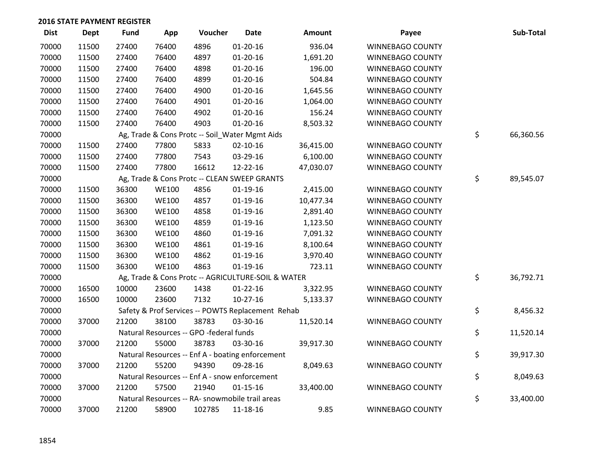| <b>Dist</b> | Dept  | <b>Fund</b> | App          | Voucher                                 | <b>Date</b>                                        | <b>Amount</b> | Payee                   | Sub-Total       |
|-------------|-------|-------------|--------------|-----------------------------------------|----------------------------------------------------|---------------|-------------------------|-----------------|
| 70000       | 11500 | 27400       | 76400        | 4896                                    | $01 - 20 - 16$                                     | 936.04        | WINNEBAGO COUNTY        |                 |
| 70000       | 11500 | 27400       | 76400        | 4897                                    | $01 - 20 - 16$                                     | 1,691.20      | <b>WINNEBAGO COUNTY</b> |                 |
| 70000       | 11500 | 27400       | 76400        | 4898                                    | $01 - 20 - 16$                                     | 196.00        | <b>WINNEBAGO COUNTY</b> |                 |
| 70000       | 11500 | 27400       | 76400        | 4899                                    | $01 - 20 - 16$                                     | 504.84        | <b>WINNEBAGO COUNTY</b> |                 |
| 70000       | 11500 | 27400       | 76400        | 4900                                    | $01-20-16$                                         | 1,645.56      | WINNEBAGO COUNTY        |                 |
| 70000       | 11500 | 27400       | 76400        | 4901                                    | $01 - 20 - 16$                                     | 1,064.00      | WINNEBAGO COUNTY        |                 |
| 70000       | 11500 | 27400       | 76400        | 4902                                    | $01-20-16$                                         | 156.24        | WINNEBAGO COUNTY        |                 |
| 70000       | 11500 | 27400       | 76400        | 4903                                    | $01 - 20 - 16$                                     | 8,503.32      | WINNEBAGO COUNTY        |                 |
| 70000       |       |             |              |                                         | Ag, Trade & Cons Protc -- Soil_Water Mgmt Aids     |               |                         | \$<br>66,360.56 |
| 70000       | 11500 | 27400       | 77800        | 5833                                    | $02 - 10 - 16$                                     | 36,415.00     | <b>WINNEBAGO COUNTY</b> |                 |
| 70000       | 11500 | 27400       | 77800        | 7543                                    | 03-29-16                                           | 6,100.00      | WINNEBAGO COUNTY        |                 |
| 70000       | 11500 | 27400       | 77800        | 16612                                   | 12-22-16                                           | 47,030.07     | WINNEBAGO COUNTY        |                 |
| 70000       |       |             |              |                                         | Ag, Trade & Cons Protc -- CLEAN SWEEP GRANTS       |               |                         | \$<br>89,545.07 |
| 70000       | 11500 | 36300       | <b>WE100</b> | 4856                                    | $01-19-16$                                         | 2,415.00      | <b>WINNEBAGO COUNTY</b> |                 |
| 70000       | 11500 | 36300       | <b>WE100</b> | 4857                                    | $01-19-16$                                         | 10,477.34     | <b>WINNEBAGO COUNTY</b> |                 |
| 70000       | 11500 | 36300       | <b>WE100</b> | 4858                                    | $01-19-16$                                         | 2,891.40      | WINNEBAGO COUNTY        |                 |
| 70000       | 11500 | 36300       | <b>WE100</b> | 4859                                    | $01-19-16$                                         | 1,123.50      | WINNEBAGO COUNTY        |                 |
| 70000       | 11500 | 36300       | <b>WE100</b> | 4860                                    | $01-19-16$                                         | 7,091.32      | WINNEBAGO COUNTY        |                 |
| 70000       | 11500 | 36300       | <b>WE100</b> | 4861                                    | $01-19-16$                                         | 8,100.64      | WINNEBAGO COUNTY        |                 |
| 70000       | 11500 | 36300       | <b>WE100</b> | 4862                                    | $01-19-16$                                         | 3,970.40      | WINNEBAGO COUNTY        |                 |
| 70000       | 11500 | 36300       | <b>WE100</b> | 4863                                    | $01-19-16$                                         | 723.11        | WINNEBAGO COUNTY        |                 |
| 70000       |       |             |              |                                         | Ag, Trade & Cons Protc -- AGRICULTURE-SOIL & WATER |               |                         | \$<br>36,792.71 |
| 70000       | 16500 | 10000       | 23600        | 1438                                    | $01 - 22 - 16$                                     | 3,322.95      | WINNEBAGO COUNTY        |                 |
| 70000       | 16500 | 10000       | 23600        | 7132                                    | $10-27-16$                                         | 5,133.37      | WINNEBAGO COUNTY        |                 |
| 70000       |       |             |              |                                         | Safety & Prof Services -- POWTS Replacement Rehab  |               |                         | \$<br>8,456.32  |
| 70000       | 37000 | 21200       | 38100        | 38783                                   | 03-30-16                                           | 11,520.14     | WINNEBAGO COUNTY        |                 |
| 70000       |       |             |              | Natural Resources -- GPO -federal funds |                                                    |               |                         | \$<br>11,520.14 |
| 70000       | 37000 | 21200       | 55000        | 38783                                   | 03-30-16                                           | 39,917.30     | WINNEBAGO COUNTY        |                 |
| 70000       |       |             |              |                                         | Natural Resources -- Enf A - boating enforcement   |               |                         | \$<br>39,917.30 |
| 70000       | 37000 | 21200       | 55200        | 94390                                   | 09-28-16                                           | 8,049.63      | WINNEBAGO COUNTY        |                 |
| 70000       |       |             |              |                                         | Natural Resources -- Enf A - snow enforcement      |               |                         | \$<br>8,049.63  |
| 70000       | 37000 | 21200       | 57500        | 21940                                   | $01 - 15 - 16$                                     | 33,400.00     | <b>WINNEBAGO COUNTY</b> |                 |
| 70000       |       |             |              |                                         | Natural Resources -- RA- snowmobile trail areas    |               |                         | \$<br>33,400.00 |
| 70000       | 37000 | 21200       | 58900        | 102785                                  | 11-18-16                                           | 9.85          | WINNEBAGO COUNTY        |                 |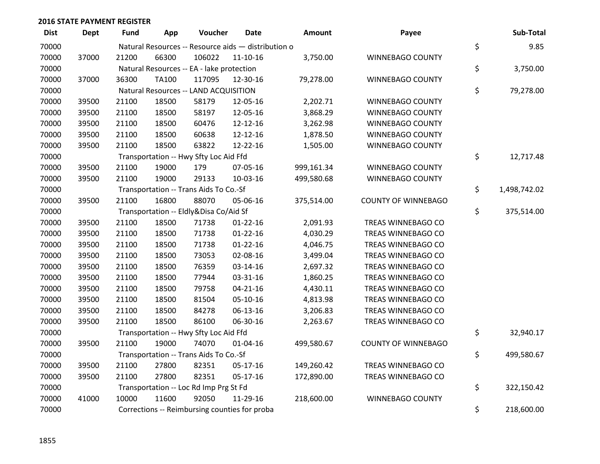| <b>Dist</b> | <b>Dept</b> | <b>Fund</b> | App          | Voucher                                             | Date           | <b>Amount</b> | Payee                      | Sub-Total          |
|-------------|-------------|-------------|--------------|-----------------------------------------------------|----------------|---------------|----------------------------|--------------------|
| 70000       |             |             |              | Natural Resources -- Resource aids - distribution o |                |               |                            | \$<br>9.85         |
| 70000       | 37000       | 21200       | 66300        | 106022                                              | $11 - 10 - 16$ | 3,750.00      | WINNEBAGO COUNTY           |                    |
| 70000       |             |             |              | Natural Resources -- EA - lake protection           |                |               |                            | \$<br>3,750.00     |
| 70000       | 37000       | 36300       | <b>TA100</b> | 117095                                              | 12-30-16       | 79,278.00     | WINNEBAGO COUNTY           |                    |
| 70000       |             |             |              | Natural Resources -- LAND ACQUISITION               |                |               |                            | \$<br>79,278.00    |
| 70000       | 39500       | 21100       | 18500        | 58179                                               | 12-05-16       | 2,202.71      | <b>WINNEBAGO COUNTY</b>    |                    |
| 70000       | 39500       | 21100       | 18500        | 58197                                               | 12-05-16       | 3,868.29      | WINNEBAGO COUNTY           |                    |
| 70000       | 39500       | 21100       | 18500        | 60476                                               | 12-12-16       | 3,262.98      | WINNEBAGO COUNTY           |                    |
| 70000       | 39500       | 21100       | 18500        | 60638                                               | 12-12-16       | 1,878.50      | WINNEBAGO COUNTY           |                    |
| 70000       | 39500       | 21100       | 18500        | 63822                                               | 12-22-16       | 1,505.00      | WINNEBAGO COUNTY           |                    |
| 70000       |             |             |              | Transportation -- Hwy Sfty Loc Aid Ffd              |                |               |                            | \$<br>12,717.48    |
| 70000       | 39500       | 21100       | 19000        | 179                                                 | 07-05-16       | 999,161.34    | WINNEBAGO COUNTY           |                    |
| 70000       | 39500       | 21100       | 19000        | 29133                                               | 10-03-16       | 499,580.68    | <b>WINNEBAGO COUNTY</b>    |                    |
| 70000       |             |             |              | Transportation -- Trans Aids To Co.-Sf              |                |               |                            | \$<br>1,498,742.02 |
| 70000       | 39500       | 21100       | 16800        | 88070                                               | 05-06-16       | 375,514.00    | <b>COUNTY OF WINNEBAGO</b> |                    |
| 70000       |             |             |              | Transportation -- Eldly&Disa Co/Aid Sf              |                |               |                            | \$<br>375,514.00   |
| 70000       | 39500       | 21100       | 18500        | 71738                                               | $01 - 22 - 16$ | 2,091.93      | TREAS WINNEBAGO CO         |                    |
| 70000       | 39500       | 21100       | 18500        | 71738                                               | $01 - 22 - 16$ | 4,030.29      | TREAS WINNEBAGO CO         |                    |
| 70000       | 39500       | 21100       | 18500        | 71738                                               | $01 - 22 - 16$ | 4,046.75      | TREAS WINNEBAGO CO         |                    |
| 70000       | 39500       | 21100       | 18500        | 73053                                               | 02-08-16       | 3,499.04      | TREAS WINNEBAGO CO         |                    |
| 70000       | 39500       | 21100       | 18500        | 76359                                               | 03-14-16       | 2,697.32      | TREAS WINNEBAGO CO         |                    |
| 70000       | 39500       | 21100       | 18500        | 77944                                               | 03-31-16       | 1,860.25      | TREAS WINNEBAGO CO         |                    |
| 70000       | 39500       | 21100       | 18500        | 79758                                               | $04 - 21 - 16$ | 4,430.11      | TREAS WINNEBAGO CO         |                    |
| 70000       | 39500       | 21100       | 18500        | 81504                                               | 05-10-16       | 4,813.98      | TREAS WINNEBAGO CO         |                    |
| 70000       | 39500       | 21100       | 18500        | 84278                                               | 06-13-16       | 3,206.83      | TREAS WINNEBAGO CO         |                    |
| 70000       | 39500       | 21100       | 18500        | 86100                                               | 06-30-16       | 2,263.67      | TREAS WINNEBAGO CO         |                    |
| 70000       |             |             |              | Transportation -- Hwy Sfty Loc Aid Ffd              |                |               |                            | \$<br>32,940.17    |
| 70000       | 39500       | 21100       | 19000        | 74070                                               | $01 - 04 - 16$ | 499,580.67    | <b>COUNTY OF WINNEBAGO</b> |                    |
| 70000       |             |             |              | Transportation -- Trans Aids To Co.-Sf              |                |               |                            | \$<br>499,580.67   |
| 70000       | 39500       | 21100       | 27800        | 82351                                               | 05-17-16       | 149,260.42    | TREAS WINNEBAGO CO         |                    |
| 70000       | 39500       | 21100       | 27800        | 82351                                               | 05-17-16       | 172,890.00    | TREAS WINNEBAGO CO         |                    |
| 70000       |             |             |              | Transportation -- Loc Rd Imp Prg St Fd              |                |               |                            | \$<br>322,150.42   |
| 70000       | 41000       | 10000       | 11600        | 92050                                               | 11-29-16       | 218,600.00    | WINNEBAGO COUNTY           |                    |
| 70000       |             |             |              | Corrections -- Reimbursing counties for proba       |                |               |                            | \$<br>218,600.00   |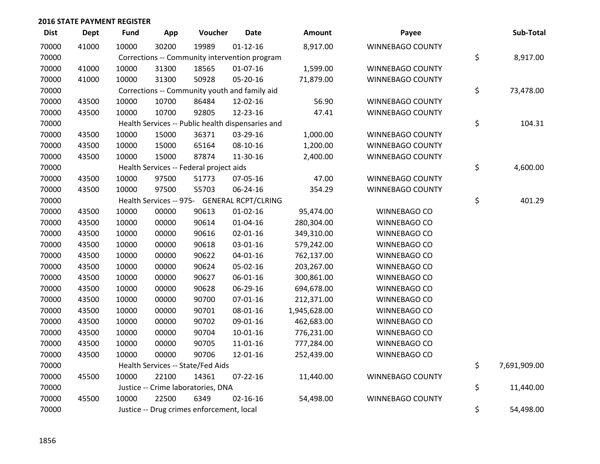| <b>Dist</b> | Dept  | Fund  | App   | Voucher                                           | <b>Date</b>    | Amount       | Payee                   | Sub-Total          |
|-------------|-------|-------|-------|---------------------------------------------------|----------------|--------------|-------------------------|--------------------|
| 70000       | 41000 | 10000 | 30200 | 19989                                             | $01 - 12 - 16$ | 8,917.00     | WINNEBAGO COUNTY        |                    |
| 70000       |       |       |       | Corrections -- Community intervention program     |                |              |                         | \$<br>8,917.00     |
| 70000       | 41000 | 10000 | 31300 | 18565                                             | $01-07-16$     | 1,599.00     | WINNEBAGO COUNTY        |                    |
| 70000       | 41000 | 10000 | 31300 | 50928                                             | 05-20-16       | 71,879.00    | WINNEBAGO COUNTY        |                    |
| 70000       |       |       |       | Corrections -- Community youth and family aid     |                |              |                         | \$<br>73,478.00    |
| 70000       | 43500 | 10000 | 10700 | 86484                                             | 12-02-16       | 56.90        | WINNEBAGO COUNTY        |                    |
| 70000       | 43500 | 10000 | 10700 | 92805                                             | 12-23-16       | 47.41        | WINNEBAGO COUNTY        |                    |
| 70000       |       |       |       | Health Services -- Public health dispensaries and |                |              |                         | \$<br>104.31       |
| 70000       | 43500 | 10000 | 15000 | 36371                                             | 03-29-16       | 1,000.00     | WINNEBAGO COUNTY        |                    |
| 70000       | 43500 | 10000 | 15000 | 65164                                             | 08-10-16       | 1,200.00     | WINNEBAGO COUNTY        |                    |
| 70000       | 43500 | 10000 | 15000 | 87874                                             | 11-30-16       | 2,400.00     | WINNEBAGO COUNTY        |                    |
| 70000       |       |       |       | Health Services -- Federal project aids           |                |              |                         | \$<br>4,600.00     |
| 70000       | 43500 | 10000 | 97500 | 51773                                             | 07-05-16       | 47.00        | <b>WINNEBAGO COUNTY</b> |                    |
| 70000       | 43500 | 10000 | 97500 | 55703                                             | 06-24-16       | 354.29       | WINNEBAGO COUNTY        |                    |
| 70000       |       |       |       | Health Services -- 975- GENERAL RCPT/CLRING       |                |              |                         | \$<br>401.29       |
| 70000       | 43500 | 10000 | 00000 | 90613                                             | $01-02-16$     | 95,474.00    | WINNEBAGO CO            |                    |
| 70000       | 43500 | 10000 | 00000 | 90614                                             | $01 - 04 - 16$ | 280,304.00   | WINNEBAGO CO            |                    |
| 70000       | 43500 | 10000 | 00000 | 90616                                             | 02-01-16       | 349,310.00   | WINNEBAGO CO            |                    |
| 70000       | 43500 | 10000 | 00000 | 90618                                             | 03-01-16       | 579,242.00   | WINNEBAGO CO            |                    |
| 70000       | 43500 | 10000 | 00000 | 90622                                             | 04-01-16       | 762,137.00   | WINNEBAGO CO            |                    |
| 70000       | 43500 | 10000 | 00000 | 90624                                             | 05-02-16       | 203,267.00   | WINNEBAGO CO            |                    |
| 70000       | 43500 | 10000 | 00000 | 90627                                             | 06-01-16       | 300,861.00   | WINNEBAGO CO            |                    |
| 70000       | 43500 | 10000 | 00000 | 90628                                             | 06-29-16       | 694,678.00   | WINNEBAGO CO            |                    |
| 70000       | 43500 | 10000 | 00000 | 90700                                             | 07-01-16       | 212,371.00   | WINNEBAGO CO            |                    |
| 70000       | 43500 | 10000 | 00000 | 90701                                             | 08-01-16       | 1,945,628.00 | WINNEBAGO CO            |                    |
| 70000       | 43500 | 10000 | 00000 | 90702                                             | 09-01-16       | 462,683.00   | WINNEBAGO CO            |                    |
| 70000       | 43500 | 10000 | 00000 | 90704                                             | $10-01-16$     | 776,231.00   | WINNEBAGO CO            |                    |
| 70000       | 43500 | 10000 | 00000 | 90705                                             | 11-01-16       | 777,284.00   | WINNEBAGO CO            |                    |
| 70000       | 43500 | 10000 | 00000 | 90706                                             | 12-01-16       | 252,439.00   | WINNEBAGO CO            |                    |
| 70000       |       |       |       | Health Services -- State/Fed Aids                 |                |              |                         | \$<br>7,691,909.00 |
| 70000       | 45500 | 10000 | 22100 | 14361                                             | $07 - 22 - 16$ | 11,440.00    | WINNEBAGO COUNTY        |                    |
| 70000       |       |       |       | Justice -- Crime laboratories, DNA                |                |              |                         | \$<br>11,440.00    |
| 70000       | 45500 | 10000 | 22500 | 6349                                              | $02 - 16 - 16$ | 54,498.00    | WINNEBAGO COUNTY        |                    |
| 70000       |       |       |       | Justice -- Drug crimes enforcement, local         |                |              |                         | \$<br>54,498.00    |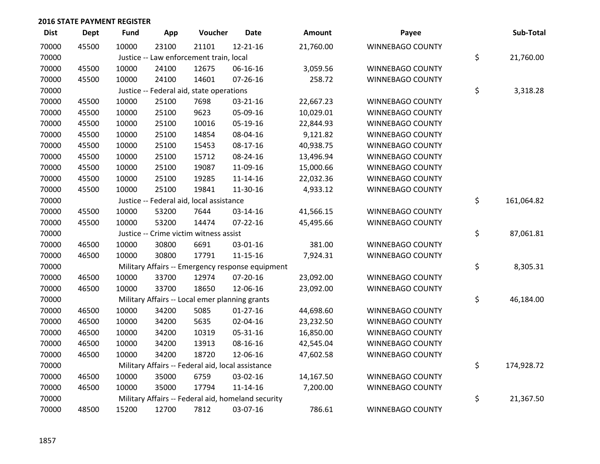| <b>Dist</b> | Dept  | <b>Fund</b> | App   | Voucher                                            | <b>Date</b>    | Amount    | Payee                   | Sub-Total        |
|-------------|-------|-------------|-------|----------------------------------------------------|----------------|-----------|-------------------------|------------------|
| 70000       | 45500 | 10000       | 23100 | 21101                                              | 12-21-16       | 21,760.00 | <b>WINNEBAGO COUNTY</b> |                  |
| 70000       |       |             |       | Justice -- Law enforcement train, local            |                |           |                         | \$<br>21,760.00  |
| 70000       | 45500 | 10000       | 24100 | 12675                                              | 06-16-16       | 3,059.56  | WINNEBAGO COUNTY        |                  |
| 70000       | 45500 | 10000       | 24100 | 14601                                              | 07-26-16       | 258.72    | WINNEBAGO COUNTY        |                  |
| 70000       |       |             |       | Justice -- Federal aid, state operations           |                |           |                         | \$<br>3,318.28   |
| 70000       | 45500 | 10000       | 25100 | 7698                                               | 03-21-16       | 22,667.23 | WINNEBAGO COUNTY        |                  |
| 70000       | 45500 | 10000       | 25100 | 9623                                               | 05-09-16       | 10,029.01 | WINNEBAGO COUNTY        |                  |
| 70000       | 45500 | 10000       | 25100 | 10016                                              | 05-19-16       | 22,844.93 | WINNEBAGO COUNTY        |                  |
| 70000       | 45500 | 10000       | 25100 | 14854                                              | 08-04-16       | 9,121.82  | <b>WINNEBAGO COUNTY</b> |                  |
| 70000       | 45500 | 10000       | 25100 | 15453                                              | 08-17-16       | 40,938.75 | WINNEBAGO COUNTY        |                  |
| 70000       | 45500 | 10000       | 25100 | 15712                                              | 08-24-16       | 13,496.94 | WINNEBAGO COUNTY        |                  |
| 70000       | 45500 | 10000       | 25100 | 19087                                              | 11-09-16       | 15,000.66 | <b>WINNEBAGO COUNTY</b> |                  |
| 70000       | 45500 | 10000       | 25100 | 19285                                              | $11 - 14 - 16$ | 22,032.36 | WINNEBAGO COUNTY        |                  |
| 70000       | 45500 | 10000       | 25100 | 19841                                              | 11-30-16       | 4,933.12  | WINNEBAGO COUNTY        |                  |
| 70000       |       |             |       | Justice -- Federal aid, local assistance           |                |           |                         | \$<br>161,064.82 |
| 70000       | 45500 | 10000       | 53200 | 7644                                               | 03-14-16       | 41,566.15 | WINNEBAGO COUNTY        |                  |
| 70000       | 45500 | 10000       | 53200 | 14474                                              | 07-22-16       | 45,495.66 | WINNEBAGO COUNTY        |                  |
| 70000       |       |             |       | Justice -- Crime victim witness assist             |                |           |                         | \$<br>87,061.81  |
| 70000       | 46500 | 10000       | 30800 | 6691                                               | 03-01-16       | 381.00    | <b>WINNEBAGO COUNTY</b> |                  |
| 70000       | 46500 | 10000       | 30800 | 17791                                              | $11 - 15 - 16$ | 7,924.31  | WINNEBAGO COUNTY        |                  |
| 70000       |       |             |       | Military Affairs -- Emergency response equipment   |                |           |                         | \$<br>8,305.31   |
| 70000       | 46500 | 10000       | 33700 | 12974                                              | 07-20-16       | 23,092.00 | WINNEBAGO COUNTY        |                  |
| 70000       | 46500 | 10000       | 33700 | 18650                                              | 12-06-16       | 23,092.00 | WINNEBAGO COUNTY        |                  |
| 70000       |       |             |       | Military Affairs -- Local emer planning grants     |                |           |                         | \$<br>46,184.00  |
| 70000       | 46500 | 10000       | 34200 | 5085                                               | $01-27-16$     | 44,698.60 | WINNEBAGO COUNTY        |                  |
| 70000       | 46500 | 10000       | 34200 | 5635                                               | 02-04-16       | 23,232.50 | WINNEBAGO COUNTY        |                  |
| 70000       | 46500 | 10000       | 34200 | 10319                                              | 05-31-16       | 16,850.00 | WINNEBAGO COUNTY        |                  |
| 70000       | 46500 | 10000       | 34200 | 13913                                              | 08-16-16       | 42,545.04 | <b>WINNEBAGO COUNTY</b> |                  |
| 70000       | 46500 | 10000       | 34200 | 18720                                              | 12-06-16       | 47,602.58 | WINNEBAGO COUNTY        |                  |
| 70000       |       |             |       | Military Affairs -- Federal aid, local assistance  |                |           |                         | \$<br>174,928.72 |
| 70000       | 46500 | 10000       | 35000 | 6759                                               | 03-02-16       | 14,167.50 | WINNEBAGO COUNTY        |                  |
| 70000       | 46500 | 10000       | 35000 | 17794                                              | $11 - 14 - 16$ | 7,200.00  | <b>WINNEBAGO COUNTY</b> |                  |
| 70000       |       |             |       | Military Affairs -- Federal aid, homeland security |                |           |                         | \$<br>21,367.50  |
| 70000       | 48500 | 15200       | 12700 | 7812                                               | 03-07-16       | 786.61    | <b>WINNEBAGO COUNTY</b> |                  |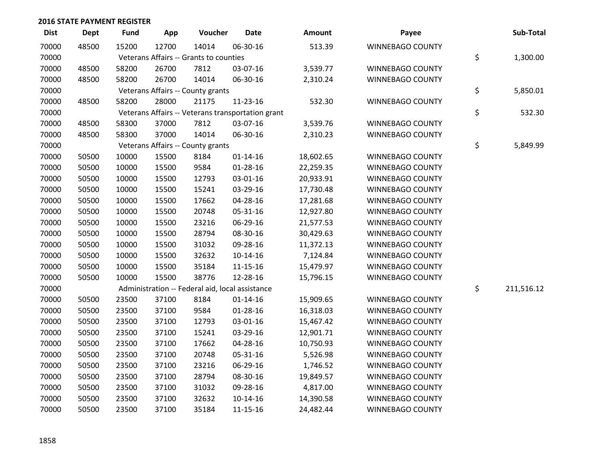| <b>Dist</b> | Dept  | <b>Fund</b> | App   | Voucher                                           | <b>Date</b>    | Amount    | Payee                   | Sub-Total        |
|-------------|-------|-------------|-------|---------------------------------------------------|----------------|-----------|-------------------------|------------------|
| 70000       | 48500 | 15200       | 12700 | 14014                                             | 06-30-16       | 513.39    | <b>WINNEBAGO COUNTY</b> |                  |
| 70000       |       |             |       | Veterans Affairs -- Grants to counties            |                |           |                         | \$<br>1,300.00   |
| 70000       | 48500 | 58200       | 26700 | 7812                                              | 03-07-16       | 3,539.77  | WINNEBAGO COUNTY        |                  |
| 70000       | 48500 | 58200       | 26700 | 14014                                             | 06-30-16       | 2,310.24  | WINNEBAGO COUNTY        |                  |
| 70000       |       |             |       | Veterans Affairs -- County grants                 |                |           |                         | \$<br>5,850.01   |
| 70000       | 48500 | 58200       | 28000 | 21175                                             | 11-23-16       | 532.30    | WINNEBAGO COUNTY        |                  |
| 70000       |       |             |       | Veterans Affairs -- Veterans transportation grant |                |           |                         | \$<br>532.30     |
| 70000       | 48500 | 58300       | 37000 | 7812                                              | 03-07-16       | 3,539.76  | <b>WINNEBAGO COUNTY</b> |                  |
| 70000       | 48500 | 58300       | 37000 | 14014                                             | 06-30-16       | 2,310.23  | WINNEBAGO COUNTY        |                  |
| 70000       |       |             |       | Veterans Affairs -- County grants                 |                |           |                         | \$<br>5,849.99   |
| 70000       | 50500 | 10000       | 15500 | 8184                                              | $01 - 14 - 16$ | 18,602.65 | <b>WINNEBAGO COUNTY</b> |                  |
| 70000       | 50500 | 10000       | 15500 | 9584                                              | $01 - 28 - 16$ | 22,259.35 | <b>WINNEBAGO COUNTY</b> |                  |
| 70000       | 50500 | 10000       | 15500 | 12793                                             | 03-01-16       | 20,933.91 | WINNEBAGO COUNTY        |                  |
| 70000       | 50500 | 10000       | 15500 | 15241                                             | 03-29-16       | 17,730.48 | WINNEBAGO COUNTY        |                  |
| 70000       | 50500 | 10000       | 15500 | 17662                                             | 04-28-16       | 17,281.68 | WINNEBAGO COUNTY        |                  |
| 70000       | 50500 | 10000       | 15500 | 20748                                             | 05-31-16       | 12,927.80 | <b>WINNEBAGO COUNTY</b> |                  |
| 70000       | 50500 | 10000       | 15500 | 23216                                             | 06-29-16       | 21,577.53 | WINNEBAGO COUNTY        |                  |
| 70000       | 50500 | 10000       | 15500 | 28794                                             | 08-30-16       | 30,429.63 | WINNEBAGO COUNTY        |                  |
| 70000       | 50500 | 10000       | 15500 | 31032                                             | 09-28-16       | 11,372.13 | WINNEBAGO COUNTY        |                  |
| 70000       | 50500 | 10000       | 15500 | 32632                                             | $10-14-16$     | 7,124.84  | WINNEBAGO COUNTY        |                  |
| 70000       | 50500 | 10000       | 15500 | 35184                                             | $11 - 15 - 16$ | 15,479.97 | WINNEBAGO COUNTY        |                  |
| 70000       | 50500 | 10000       | 15500 | 38776                                             | 12-28-16       | 15,796.15 | <b>WINNEBAGO COUNTY</b> |                  |
| 70000       |       |             |       | Administration -- Federal aid, local assistance   |                |           |                         | \$<br>211,516.12 |
| 70000       | 50500 | 23500       | 37100 | 8184                                              | $01 - 14 - 16$ | 15,909.65 | WINNEBAGO COUNTY        |                  |
| 70000       | 50500 | 23500       | 37100 | 9584                                              | 01-28-16       | 16,318.03 | WINNEBAGO COUNTY        |                  |
| 70000       | 50500 | 23500       | 37100 | 12793                                             | 03-01-16       | 15,467.42 | WINNEBAGO COUNTY        |                  |
| 70000       | 50500 | 23500       | 37100 | 15241                                             | 03-29-16       | 12,901.71 | WINNEBAGO COUNTY        |                  |
| 70000       | 50500 | 23500       | 37100 | 17662                                             | 04-28-16       | 10,750.93 | WINNEBAGO COUNTY        |                  |
| 70000       | 50500 | 23500       | 37100 | 20748                                             | 05-31-16       | 5,526.98  | WINNEBAGO COUNTY        |                  |
| 70000       | 50500 | 23500       | 37100 | 23216                                             | 06-29-16       | 1,746.52  | WINNEBAGO COUNTY        |                  |
| 70000       | 50500 | 23500       | 37100 | 28794                                             | 08-30-16       | 19,849.57 | WINNEBAGO COUNTY        |                  |
| 70000       | 50500 | 23500       | 37100 | 31032                                             | 09-28-16       | 4,817.00  | <b>WINNEBAGO COUNTY</b> |                  |
| 70000       | 50500 | 23500       | 37100 | 32632                                             | $10-14-16$     | 14,390.58 | <b>WINNEBAGO COUNTY</b> |                  |
| 70000       | 50500 | 23500       | 37100 | 35184                                             | 11-15-16       | 24,482.44 | WINNEBAGO COUNTY        |                  |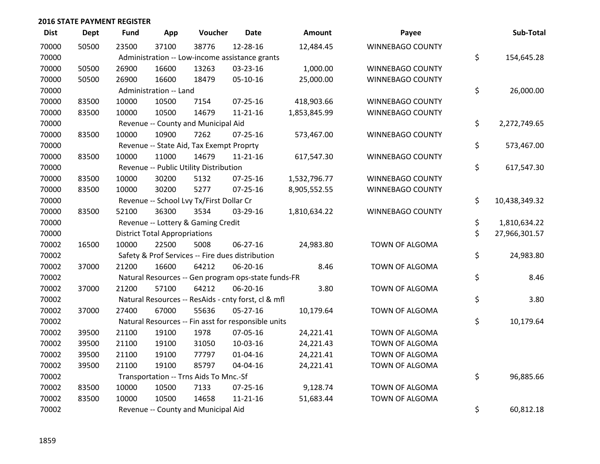| <b>Dist</b> | <b>Dept</b> | <b>Fund</b> | App                                  | Voucher                                             | <b>Date</b>    | <b>Amount</b> | Payee                   | Sub-Total           |
|-------------|-------------|-------------|--------------------------------------|-----------------------------------------------------|----------------|---------------|-------------------------|---------------------|
| 70000       | 50500       | 23500       | 37100                                | 38776                                               | 12-28-16       | 12,484.45     | <b>WINNEBAGO COUNTY</b> |                     |
| 70000       |             |             |                                      | Administration -- Low-income assistance grants      |                |               |                         | \$<br>154,645.28    |
| 70000       | 50500       | 26900       | 16600                                | 13263                                               | 03-23-16       | 1,000.00      | <b>WINNEBAGO COUNTY</b> |                     |
| 70000       | 50500       | 26900       | 16600                                | 18479                                               | $05-10-16$     | 25,000.00     | <b>WINNEBAGO COUNTY</b> |                     |
| 70000       |             |             | Administration -- Land               |                                                     |                |               |                         | \$<br>26,000.00     |
| 70000       | 83500       | 10000       | 10500                                | 7154                                                | $07 - 25 - 16$ | 418,903.66    | WINNEBAGO COUNTY        |                     |
| 70000       | 83500       | 10000       | 10500                                | 14679                                               | $11 - 21 - 16$ | 1,853,845.99  | <b>WINNEBAGO COUNTY</b> |                     |
| 70000       |             |             |                                      | Revenue -- County and Municipal Aid                 |                |               |                         | \$<br>2,272,749.65  |
| 70000       | 83500       | 10000       | 10900                                | 7262                                                | 07-25-16       | 573,467.00    | WINNEBAGO COUNTY        |                     |
| 70000       |             |             |                                      | Revenue -- State Aid, Tax Exempt Proprty            |                |               |                         | \$<br>573,467.00    |
| 70000       | 83500       | 10000       | 11000                                | 14679                                               | $11 - 21 - 16$ | 617,547.30    | WINNEBAGO COUNTY        |                     |
| 70000       |             |             |                                      | Revenue -- Public Utility Distribution              |                |               |                         | \$<br>617,547.30    |
| 70000       | 83500       | 10000       | 30200                                | 5132                                                | 07-25-16       | 1,532,796.77  | WINNEBAGO COUNTY        |                     |
| 70000       | 83500       | 10000       | 30200                                | 5277                                                | $07 - 25 - 16$ | 8,905,552.55  | WINNEBAGO COUNTY        |                     |
| 70000       |             |             |                                      | Revenue -- School Lvy Tx/First Dollar Cr            |                |               |                         | \$<br>10,438,349.32 |
| 70000       | 83500       | 52100       | 36300                                | 3534                                                | 03-29-16       | 1,810,634.22  | WINNEBAGO COUNTY        |                     |
| 70000       |             |             |                                      | Revenue -- Lottery & Gaming Credit                  |                |               |                         | \$<br>1,810,634.22  |
| 70000       |             |             | <b>District Total Appropriations</b> |                                                     |                |               |                         | \$<br>27,966,301.57 |
| 70002       | 16500       | 10000       | 22500                                | 5008                                                | $06 - 27 - 16$ | 24,983.80     | TOWN OF ALGOMA          |                     |
| 70002       |             |             |                                      | Safety & Prof Services -- Fire dues distribution    |                |               |                         | \$<br>24,983.80     |
| 70002       | 37000       | 21200       | 16600                                | 64212                                               | 06-20-16       | 8.46          | TOWN OF ALGOMA          |                     |
| 70002       |             |             |                                      | Natural Resources -- Gen program ops-state funds-FR |                |               |                         | \$<br>8.46          |
| 70002       | 37000       | 21200       | 57100                                | 64212                                               | 06-20-16       | 3.80          | TOWN OF ALGOMA          |                     |
| 70002       |             |             |                                      | Natural Resources -- ResAids - cnty forst, cl & mfl |                |               |                         | \$<br>3.80          |
| 70002       | 37000       | 27400       | 67000                                | 55636                                               | $05 - 27 - 16$ | 10,179.64     | TOWN OF ALGOMA          |                     |
| 70002       |             |             |                                      | Natural Resources -- Fin asst for responsible units |                |               |                         | \$<br>10,179.64     |
| 70002       | 39500       | 21100       | 19100                                | 1978                                                | 07-05-16       | 24,221.41     | TOWN OF ALGOMA          |                     |
| 70002       | 39500       | 21100       | 19100                                | 31050                                               | 10-03-16       | 24,221.43     | TOWN OF ALGOMA          |                     |
| 70002       | 39500       | 21100       | 19100                                | 77797                                               | $01 - 04 - 16$ | 24,221.41     | TOWN OF ALGOMA          |                     |
| 70002       | 39500       | 21100       | 19100                                | 85797                                               | 04-04-16       | 24,221.41     | TOWN OF ALGOMA          |                     |
| 70002       |             |             |                                      | Transportation -- Trns Aids To Mnc.-Sf              |                |               |                         | \$<br>96,885.66     |
| 70002       | 83500       | 10000       | 10500                                | 7133                                                | $07 - 25 - 16$ | 9,128.74      | TOWN OF ALGOMA          |                     |
| 70002       | 83500       | 10000       | 10500                                | 14658                                               | $11 - 21 - 16$ | 51,683.44     | TOWN OF ALGOMA          |                     |
| 70002       |             |             |                                      | Revenue -- County and Municipal Aid                 |                |               |                         | \$<br>60,812.18     |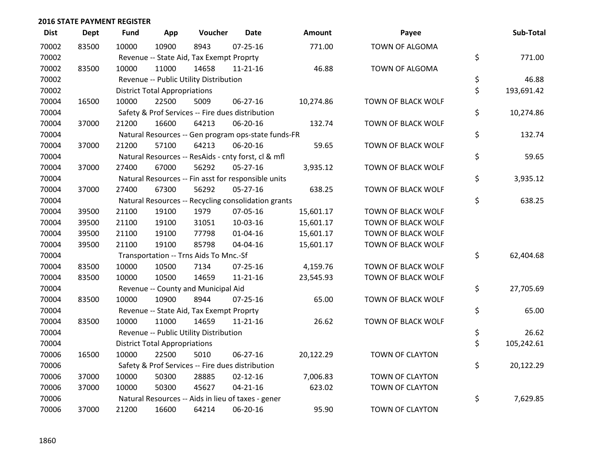| <b>Dist</b> | <b>Dept</b> | <b>Fund</b> | App                                  | Voucher                                             | <b>Date</b>    | <b>Amount</b> | Payee                  | Sub-Total        |
|-------------|-------------|-------------|--------------------------------------|-----------------------------------------------------|----------------|---------------|------------------------|------------------|
| 70002       | 83500       | 10000       | 10900                                | 8943                                                | $07 - 25 - 16$ | 771.00        | TOWN OF ALGOMA         |                  |
| 70002       |             |             |                                      | Revenue -- State Aid, Tax Exempt Proprty            |                |               |                        | \$<br>771.00     |
| 70002       | 83500       | 10000       | 11000                                | 14658                                               | $11 - 21 - 16$ | 46.88         | TOWN OF ALGOMA         |                  |
| 70002       |             |             |                                      | Revenue -- Public Utility Distribution              |                |               |                        | \$<br>46.88      |
| 70002       |             |             | <b>District Total Appropriations</b> |                                                     |                |               |                        | \$<br>193,691.42 |
| 70004       | 16500       | 10000       | 22500                                | 5009                                                | 06-27-16       | 10,274.86     | TOWN OF BLACK WOLF     |                  |
| 70004       |             |             |                                      | Safety & Prof Services -- Fire dues distribution    |                |               |                        | \$<br>10,274.86  |
| 70004       | 37000       | 21200       | 16600                                | 64213                                               | 06-20-16       | 132.74        | TOWN OF BLACK WOLF     |                  |
| 70004       |             |             |                                      | Natural Resources -- Gen program ops-state funds-FR |                |               |                        | \$<br>132.74     |
| 70004       | 37000       | 21200       | 57100                                | 64213                                               | 06-20-16       | 59.65         | TOWN OF BLACK WOLF     |                  |
| 70004       |             |             |                                      | Natural Resources -- ResAids - cnty forst, cl & mfl |                |               |                        | \$<br>59.65      |
| 70004       | 37000       | 27400       | 67000                                | 56292                                               | $05 - 27 - 16$ | 3,935.12      | TOWN OF BLACK WOLF     |                  |
| 70004       |             |             |                                      | Natural Resources -- Fin asst for responsible units |                |               |                        | \$<br>3,935.12   |
| 70004       | 37000       | 27400       | 67300                                | 56292                                               | $05 - 27 - 16$ | 638.25        | TOWN OF BLACK WOLF     |                  |
| 70004       |             |             |                                      | Natural Resources -- Recycling consolidation grants |                |               |                        | \$<br>638.25     |
| 70004       | 39500       | 21100       | 19100                                | 1979                                                | 07-05-16       | 15,601.17     | TOWN OF BLACK WOLF     |                  |
| 70004       | 39500       | 21100       | 19100                                | 31051                                               | 10-03-16       | 15,601.17     | TOWN OF BLACK WOLF     |                  |
| 70004       | 39500       | 21100       | 19100                                | 77798                                               | $01 - 04 - 16$ | 15,601.17     | TOWN OF BLACK WOLF     |                  |
| 70004       | 39500       | 21100       | 19100                                | 85798                                               | 04-04-16       | 15,601.17     | TOWN OF BLACK WOLF     |                  |
| 70004       |             |             |                                      | Transportation -- Trns Aids To Mnc.-Sf              |                |               |                        | \$<br>62,404.68  |
| 70004       | 83500       | 10000       | 10500                                | 7134                                                | $07 - 25 - 16$ | 4,159.76      | TOWN OF BLACK WOLF     |                  |
| 70004       | 83500       | 10000       | 10500                                | 14659                                               | $11 - 21 - 16$ | 23,545.93     | TOWN OF BLACK WOLF     |                  |
| 70004       |             |             |                                      | Revenue -- County and Municipal Aid                 |                |               |                        | \$<br>27,705.69  |
| 70004       | 83500       | 10000       | 10900                                | 8944                                                | $07 - 25 - 16$ | 65.00         | TOWN OF BLACK WOLF     |                  |
| 70004       |             |             |                                      | Revenue -- State Aid, Tax Exempt Proprty            |                |               |                        | \$<br>65.00      |
| 70004       | 83500       | 10000       | 11000                                | 14659                                               | $11 - 21 - 16$ | 26.62         | TOWN OF BLACK WOLF     |                  |
| 70004       |             |             |                                      | Revenue -- Public Utility Distribution              |                |               |                        | \$<br>26.62      |
| 70004       |             |             | <b>District Total Appropriations</b> |                                                     |                |               |                        | \$<br>105,242.61 |
| 70006       | 16500       | 10000       | 22500                                | 5010                                                | 06-27-16       | 20,122.29     | TOWN OF CLAYTON        |                  |
| 70006       |             |             |                                      | Safety & Prof Services -- Fire dues distribution    |                |               |                        | \$<br>20,122.29  |
| 70006       | 37000       | 10000       | 50300                                | 28885                                               | $02 - 12 - 16$ | 7,006.83      | TOWN OF CLAYTON        |                  |
| 70006       | 37000       | 10000       | 50300                                | 45627                                               | $04 - 21 - 16$ | 623.02        | TOWN OF CLAYTON        |                  |
| 70006       |             |             |                                      | Natural Resources -- Aids in lieu of taxes - gener  |                |               |                        | \$<br>7,629.85   |
| 70006       | 37000       | 21200       | 16600                                | 64214                                               | 06-20-16       | 95.90         | <b>TOWN OF CLAYTON</b> |                  |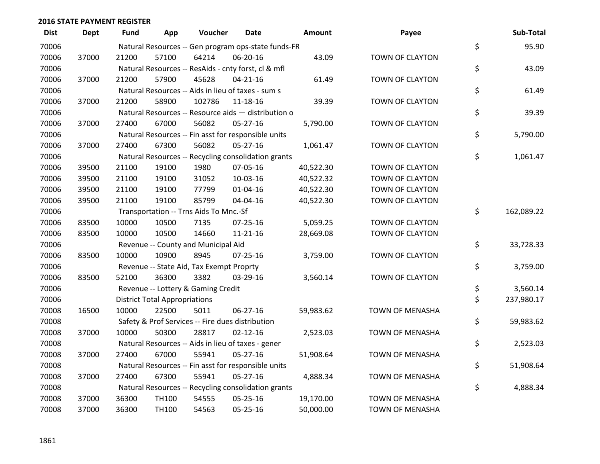| <b>Dist</b> | <b>Dept</b> | <b>Fund</b> | App                                  | Voucher                                  | <b>Date</b>                                         | <b>Amount</b> | Payee                  | Sub-Total        |
|-------------|-------------|-------------|--------------------------------------|------------------------------------------|-----------------------------------------------------|---------------|------------------------|------------------|
| 70006       |             |             |                                      |                                          | Natural Resources -- Gen program ops-state funds-FR |               |                        | \$<br>95.90      |
| 70006       | 37000       | 21200       | 57100                                | 64214                                    | 06-20-16                                            | 43.09         | TOWN OF CLAYTON        |                  |
| 70006       |             |             |                                      |                                          | Natural Resources -- ResAids - cnty forst, cl & mfl |               |                        | \$<br>43.09      |
| 70006       | 37000       | 21200       | 57900                                | 45628                                    | $04 - 21 - 16$                                      | 61.49         | TOWN OF CLAYTON        |                  |
| 70006       |             |             |                                      |                                          | Natural Resources -- Aids in lieu of taxes - sum s  |               |                        | \$<br>61.49      |
| 70006       | 37000       | 21200       | 58900                                | 102786                                   | 11-18-16                                            | 39.39         | TOWN OF CLAYTON        |                  |
| 70006       |             |             |                                      |                                          | Natural Resources -- Resource aids - distribution o |               |                        | \$<br>39.39      |
| 70006       | 37000       | 27400       | 67000                                | 56082                                    | $05 - 27 - 16$                                      | 5,790.00      | TOWN OF CLAYTON        |                  |
| 70006       |             |             |                                      |                                          | Natural Resources -- Fin asst for responsible units |               |                        | \$<br>5,790.00   |
| 70006       | 37000       | 27400       | 67300                                | 56082                                    | 05-27-16                                            | 1,061.47      | TOWN OF CLAYTON        |                  |
| 70006       |             |             |                                      |                                          | Natural Resources -- Recycling consolidation grants |               |                        | \$<br>1,061.47   |
| 70006       | 39500       | 21100       | 19100                                | 1980                                     | 07-05-16                                            | 40,522.30     | TOWN OF CLAYTON        |                  |
| 70006       | 39500       | 21100       | 19100                                | 31052                                    | 10-03-16                                            | 40,522.32     | TOWN OF CLAYTON        |                  |
| 70006       | 39500       | 21100       | 19100                                | 77799                                    | $01 - 04 - 16$                                      | 40,522.30     | TOWN OF CLAYTON        |                  |
| 70006       | 39500       | 21100       | 19100                                | 85799                                    | 04-04-16                                            | 40,522.30     | TOWN OF CLAYTON        |                  |
| 70006       |             |             |                                      | Transportation -- Trns Aids To Mnc.-Sf   |                                                     |               |                        | \$<br>162,089.22 |
| 70006       | 83500       | 10000       | 10500                                | 7135                                     | $07 - 25 - 16$                                      | 5,059.25      | TOWN OF CLAYTON        |                  |
| 70006       | 83500       | 10000       | 10500                                | 14660                                    | $11 - 21 - 16$                                      | 28,669.08     | TOWN OF CLAYTON        |                  |
| 70006       |             |             |                                      | Revenue -- County and Municipal Aid      |                                                     |               |                        | \$<br>33,728.33  |
| 70006       | 83500       | 10000       | 10900                                | 8945                                     | $07 - 25 - 16$                                      | 3,759.00      | TOWN OF CLAYTON        |                  |
| 70006       |             |             |                                      | Revenue -- State Aid, Tax Exempt Proprty |                                                     |               |                        | \$<br>3,759.00   |
| 70006       | 83500       | 52100       | 36300                                | 3382                                     | 03-29-16                                            | 3,560.14      | TOWN OF CLAYTON        |                  |
| 70006       |             |             |                                      | Revenue -- Lottery & Gaming Credit       |                                                     |               |                        | \$<br>3,560.14   |
| 70006       |             |             | <b>District Total Appropriations</b> |                                          |                                                     |               |                        | \$<br>237,980.17 |
| 70008       | 16500       | 10000       | 22500                                | 5011                                     | 06-27-16                                            | 59,983.62     | TOWN OF MENASHA        |                  |
| 70008       |             |             |                                      |                                          | Safety & Prof Services -- Fire dues distribution    |               |                        | \$<br>59,983.62  |
| 70008       | 37000       | 10000       | 50300                                | 28817                                    | $02 - 12 - 16$                                      | 2,523.03      | TOWN OF MENASHA        |                  |
| 70008       |             |             |                                      |                                          | Natural Resources -- Aids in lieu of taxes - gener  |               |                        | \$<br>2,523.03   |
| 70008       | 37000       | 27400       | 67000                                | 55941                                    | $05 - 27 - 16$                                      | 51,908.64     | <b>TOWN OF MENASHA</b> |                  |
| 70008       |             |             |                                      |                                          | Natural Resources -- Fin asst for responsible units |               |                        | \$<br>51,908.64  |
| 70008       | 37000       | 27400       | 67300                                | 55941                                    | 05-27-16                                            | 4,888.34      | TOWN OF MENASHA        |                  |
| 70008       |             |             |                                      |                                          | Natural Resources -- Recycling consolidation grants |               |                        | \$<br>4,888.34   |
| 70008       | 37000       | 36300       | TH100                                | 54555                                    | $05 - 25 - 16$                                      | 19,170.00     | TOWN OF MENASHA        |                  |
| 70008       | 37000       | 36300       | TH100                                | 54563                                    | 05-25-16                                            | 50,000.00     | <b>TOWN OF MENASHA</b> |                  |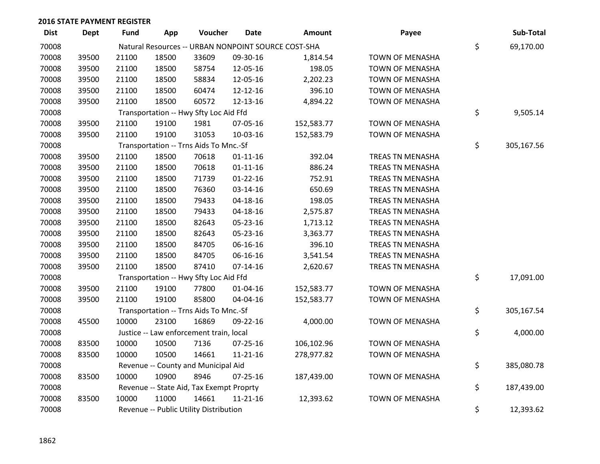| <b>Dist</b> | <b>Dept</b> | <b>Fund</b> | App   | Voucher                                  | Date           | Amount                                              | Payee                  | Sub-Total        |
|-------------|-------------|-------------|-------|------------------------------------------|----------------|-----------------------------------------------------|------------------------|------------------|
| 70008       |             |             |       |                                          |                | Natural Resources -- URBAN NONPOINT SOURCE COST-SHA |                        | \$<br>69,170.00  |
| 70008       | 39500       | 21100       | 18500 | 33609                                    | 09-30-16       | 1,814.54                                            | TOWN OF MENASHA        |                  |
| 70008       | 39500       | 21100       | 18500 | 58754                                    | 12-05-16       | 198.05                                              | TOWN OF MENASHA        |                  |
| 70008       | 39500       | 21100       | 18500 | 58834                                    | 12-05-16       | 2,202.23                                            | TOWN OF MENASHA        |                  |
| 70008       | 39500       | 21100       | 18500 | 60474                                    | 12-12-16       | 396.10                                              | TOWN OF MENASHA        |                  |
| 70008       | 39500       | 21100       | 18500 | 60572                                    | 12-13-16       | 4,894.22                                            | TOWN OF MENASHA        |                  |
| 70008       |             |             |       | Transportation -- Hwy Sfty Loc Aid Ffd   |                |                                                     |                        | \$<br>9,505.14   |
| 70008       | 39500       | 21100       | 19100 | 1981                                     | 07-05-16       | 152,583.77                                          | TOWN OF MENASHA        |                  |
| 70008       | 39500       | 21100       | 19100 | 31053                                    | 10-03-16       | 152,583.79                                          | TOWN OF MENASHA        |                  |
| 70008       |             |             |       | Transportation -- Trns Aids To Mnc.-Sf   |                |                                                     |                        | \$<br>305,167.56 |
| 70008       | 39500       | 21100       | 18500 | 70618                                    | $01 - 11 - 16$ | 392.04                                              | TREAS TN MENASHA       |                  |
| 70008       | 39500       | 21100       | 18500 | 70618                                    | $01 - 11 - 16$ | 886.24                                              | TREAS TN MENASHA       |                  |
| 70008       | 39500       | 21100       | 18500 | 71739                                    | $01 - 22 - 16$ | 752.91                                              | TREAS TN MENASHA       |                  |
| 70008       | 39500       | 21100       | 18500 | 76360                                    | 03-14-16       | 650.69                                              | TREAS TN MENASHA       |                  |
| 70008       | 39500       | 21100       | 18500 | 79433                                    | 04-18-16       | 198.05                                              | TREAS TN MENASHA       |                  |
| 70008       | 39500       | 21100       | 18500 | 79433                                    | 04-18-16       | 2,575.87                                            | TREAS TN MENASHA       |                  |
| 70008       | 39500       | 21100       | 18500 | 82643                                    | 05-23-16       | 1,713.12                                            | TREAS TN MENASHA       |                  |
| 70008       | 39500       | 21100       | 18500 | 82643                                    | 05-23-16       | 3,363.77                                            | TREAS TN MENASHA       |                  |
| 70008       | 39500       | 21100       | 18500 | 84705                                    | 06-16-16       | 396.10                                              | TREAS TN MENASHA       |                  |
| 70008       | 39500       | 21100       | 18500 | 84705                                    | 06-16-16       | 3,541.54                                            | TREAS TN MENASHA       |                  |
| 70008       | 39500       | 21100       | 18500 | 87410                                    | $07-14-16$     | 2,620.67                                            | TREAS TN MENASHA       |                  |
| 70008       |             |             |       | Transportation -- Hwy Sfty Loc Aid Ffd   |                |                                                     |                        | \$<br>17,091.00  |
| 70008       | 39500       | 21100       | 19100 | 77800                                    | $01 - 04 - 16$ | 152,583.77                                          | TOWN OF MENASHA        |                  |
| 70008       | 39500       | 21100       | 19100 | 85800                                    | 04-04-16       | 152,583.77                                          | TOWN OF MENASHA        |                  |
| 70008       |             |             |       | Transportation -- Trns Aids To Mnc.-Sf   |                |                                                     |                        | \$<br>305,167.54 |
| 70008       | 45500       | 10000       | 23100 | 16869                                    | 09-22-16       | 4,000.00                                            | TOWN OF MENASHA        |                  |
| 70008       |             |             |       | Justice -- Law enforcement train, local  |                |                                                     |                        | \$<br>4,000.00   |
| 70008       | 83500       | 10000       | 10500 | 7136                                     | 07-25-16       | 106,102.96                                          | TOWN OF MENASHA        |                  |
| 70008       | 83500       | 10000       | 10500 | 14661                                    | 11-21-16       | 278,977.82                                          | TOWN OF MENASHA        |                  |
| 70008       |             |             |       | Revenue -- County and Municipal Aid      |                |                                                     |                        | \$<br>385,080.78 |
| 70008       | 83500       | 10000       | 10900 | 8946                                     | $07 - 25 - 16$ | 187,439.00                                          | <b>TOWN OF MENASHA</b> |                  |
| 70008       |             |             |       | Revenue -- State Aid, Tax Exempt Proprty |                |                                                     |                        | \$<br>187,439.00 |
| 70008       | 83500       | 10000       | 11000 | 14661                                    | $11 - 21 - 16$ | 12,393.62                                           | <b>TOWN OF MENASHA</b> |                  |
| 70008       |             |             |       | Revenue -- Public Utility Distribution   |                |                                                     |                        | \$<br>12,393.62  |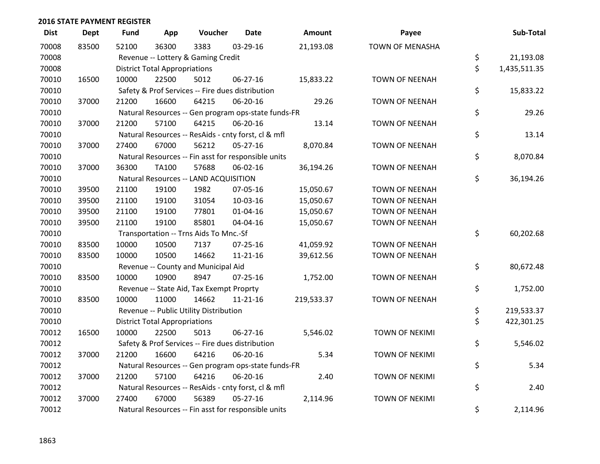| <b>Dist</b> | <b>Dept</b> | <b>Fund</b> | App                                  | Voucher                                             | <b>Date</b>    | <b>Amount</b> | Payee                  | Sub-Total          |
|-------------|-------------|-------------|--------------------------------------|-----------------------------------------------------|----------------|---------------|------------------------|--------------------|
| 70008       | 83500       | 52100       | 36300                                | 3383                                                | 03-29-16       | 21,193.08     | <b>TOWN OF MENASHA</b> |                    |
| 70008       |             |             |                                      | Revenue -- Lottery & Gaming Credit                  |                |               |                        | \$<br>21,193.08    |
| 70008       |             |             | <b>District Total Appropriations</b> |                                                     |                |               |                        | \$<br>1,435,511.35 |
| 70010       | 16500       | 10000       | 22500                                | 5012                                                | $06 - 27 - 16$ | 15,833.22     | <b>TOWN OF NEENAH</b>  |                    |
| 70010       |             |             |                                      | Safety & Prof Services -- Fire dues distribution    |                |               |                        | \$<br>15,833.22    |
| 70010       | 37000       | 21200       | 16600                                | 64215                                               | 06-20-16       | 29.26         | <b>TOWN OF NEENAH</b>  |                    |
| 70010       |             |             |                                      | Natural Resources -- Gen program ops-state funds-FR |                |               |                        | \$<br>29.26        |
| 70010       | 37000       | 21200       | 57100                                | 64215                                               | 06-20-16       | 13.14         | <b>TOWN OF NEENAH</b>  |                    |
| 70010       |             |             |                                      | Natural Resources -- ResAids - cnty forst, cl & mfl |                |               |                        | \$<br>13.14        |
| 70010       | 37000       | 27400       | 67000                                | 56212                                               | 05-27-16       | 8,070.84      | <b>TOWN OF NEENAH</b>  |                    |
| 70010       |             |             |                                      | Natural Resources -- Fin asst for responsible units |                |               |                        | \$<br>8,070.84     |
| 70010       | 37000       | 36300       | TA100                                | 57688                                               | 06-02-16       | 36,194.26     | <b>TOWN OF NEENAH</b>  |                    |
| 70010       |             |             |                                      | Natural Resources -- LAND ACQUISITION               |                |               |                        | \$<br>36,194.26    |
| 70010       | 39500       | 21100       | 19100                                | 1982                                                | 07-05-16       | 15,050.67     | <b>TOWN OF NEENAH</b>  |                    |
| 70010       | 39500       | 21100       | 19100                                | 31054                                               | 10-03-16       | 15,050.67     | <b>TOWN OF NEENAH</b>  |                    |
| 70010       | 39500       | 21100       | 19100                                | 77801                                               | $01 - 04 - 16$ | 15,050.67     | <b>TOWN OF NEENAH</b>  |                    |
| 70010       | 39500       | 21100       | 19100                                | 85801                                               | 04-04-16       | 15,050.67     | <b>TOWN OF NEENAH</b>  |                    |
| 70010       |             |             |                                      | Transportation -- Trns Aids To Mnc.-Sf              |                |               |                        | \$<br>60,202.68    |
| 70010       | 83500       | 10000       | 10500                                | 7137                                                | 07-25-16       | 41,059.92     | <b>TOWN OF NEENAH</b>  |                    |
| 70010       | 83500       | 10000       | 10500                                | 14662                                               | $11 - 21 - 16$ | 39,612.56     | <b>TOWN OF NEENAH</b>  |                    |
| 70010       |             |             |                                      | Revenue -- County and Municipal Aid                 |                |               |                        | \$<br>80,672.48    |
| 70010       | 83500       | 10000       | 10900                                | 8947                                                | $07 - 25 - 16$ | 1,752.00      | <b>TOWN OF NEENAH</b>  |                    |
| 70010       |             |             |                                      | Revenue -- State Aid, Tax Exempt Proprty            |                |               |                        | \$<br>1,752.00     |
| 70010       | 83500       | 10000       | 11000                                | 14662                                               | $11 - 21 - 16$ | 219,533.37    | <b>TOWN OF NEENAH</b>  |                    |
| 70010       |             |             |                                      | Revenue -- Public Utility Distribution              |                |               |                        | \$<br>219,533.37   |
| 70010       |             |             | <b>District Total Appropriations</b> |                                                     |                |               |                        | \$<br>422,301.25   |
| 70012       | 16500       | 10000       | 22500                                | 5013                                                | 06-27-16       | 5,546.02      | <b>TOWN OF NEKIMI</b>  |                    |
| 70012       |             |             |                                      | Safety & Prof Services -- Fire dues distribution    |                |               |                        | \$<br>5,546.02     |
| 70012       | 37000       | 21200       | 16600                                | 64216                                               | 06-20-16       | 5.34          | <b>TOWN OF NEKIMI</b>  |                    |
| 70012       |             |             |                                      | Natural Resources -- Gen program ops-state funds-FR |                |               |                        | \$<br>5.34         |
| 70012       | 37000       | 21200       | 57100                                | 64216                                               | 06-20-16       | 2.40          | <b>TOWN OF NEKIMI</b>  |                    |
| 70012       |             |             |                                      | Natural Resources -- ResAids - cnty forst, cl & mfl |                |               |                        | \$<br>2.40         |
| 70012       | 37000       | 27400       | 67000                                | 56389                                               | $05 - 27 - 16$ | 2,114.96      | <b>TOWN OF NEKIMI</b>  |                    |
| 70012       |             |             |                                      | Natural Resources -- Fin asst for responsible units |                |               |                        | \$<br>2,114.96     |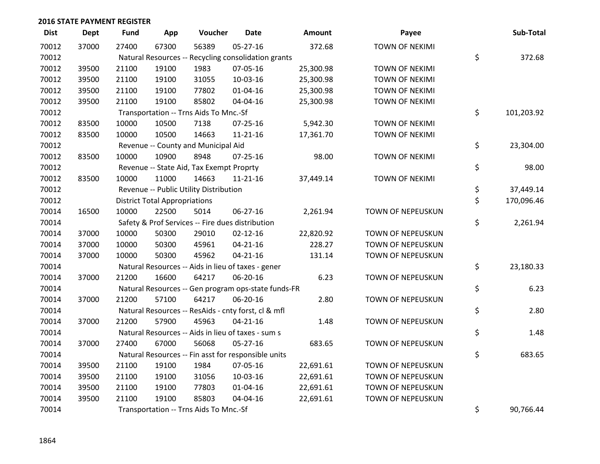| <b>Dist</b> | <b>Dept</b> | <b>Fund</b> | App                                  | Voucher                                             | <b>Date</b>    | Amount    | Payee                 | Sub-Total        |
|-------------|-------------|-------------|--------------------------------------|-----------------------------------------------------|----------------|-----------|-----------------------|------------------|
| 70012       | 37000       | 27400       | 67300                                | 56389                                               | 05-27-16       | 372.68    | <b>TOWN OF NEKIMI</b> |                  |
| 70012       |             |             |                                      | Natural Resources -- Recycling consolidation grants |                |           |                       | \$<br>372.68     |
| 70012       | 39500       | 21100       | 19100                                | 1983                                                | 07-05-16       | 25,300.98 | <b>TOWN OF NEKIMI</b> |                  |
| 70012       | 39500       | 21100       | 19100                                | 31055                                               | 10-03-16       | 25,300.98 | <b>TOWN OF NEKIMI</b> |                  |
| 70012       | 39500       | 21100       | 19100                                | 77802                                               | $01 - 04 - 16$ | 25,300.98 | <b>TOWN OF NEKIMI</b> |                  |
| 70012       | 39500       | 21100       | 19100                                | 85802                                               | 04-04-16       | 25,300.98 | <b>TOWN OF NEKIMI</b> |                  |
| 70012       |             |             |                                      | Transportation -- Trns Aids To Mnc.-Sf              |                |           |                       | \$<br>101,203.92 |
| 70012       | 83500       | 10000       | 10500                                | 7138                                                | $07 - 25 - 16$ | 5,942.30  | <b>TOWN OF NEKIMI</b> |                  |
| 70012       | 83500       | 10000       | 10500                                | 14663                                               | $11 - 21 - 16$ | 17,361.70 | <b>TOWN OF NEKIMI</b> |                  |
| 70012       |             |             |                                      | Revenue -- County and Municipal Aid                 |                |           |                       | \$<br>23,304.00  |
| 70012       | 83500       | 10000       | 10900                                | 8948                                                | 07-25-16       | 98.00     | <b>TOWN OF NEKIMI</b> |                  |
| 70012       |             |             |                                      | Revenue -- State Aid, Tax Exempt Proprty            |                |           |                       | \$<br>98.00      |
| 70012       | 83500       | 10000       | 11000                                | 14663                                               | $11 - 21 - 16$ | 37,449.14 | <b>TOWN OF NEKIMI</b> |                  |
| 70012       |             |             |                                      | Revenue -- Public Utility Distribution              |                |           |                       | \$<br>37,449.14  |
| 70012       |             |             | <b>District Total Appropriations</b> |                                                     |                |           |                       | \$<br>170,096.46 |
| 70014       | 16500       | 10000       | 22500                                | 5014                                                | 06-27-16       | 2,261.94  | TOWN OF NEPEUSKUN     |                  |
| 70014       |             |             |                                      | Safety & Prof Services -- Fire dues distribution    |                |           |                       | \$<br>2,261.94   |
| 70014       | 37000       | 10000       | 50300                                | 29010                                               | $02 - 12 - 16$ | 22,820.92 | TOWN OF NEPEUSKUN     |                  |
| 70014       | 37000       | 10000       | 50300                                | 45961                                               | $04 - 21 - 16$ | 228.27    | TOWN OF NEPEUSKUN     |                  |
| 70014       | 37000       | 10000       | 50300                                | 45962                                               | $04 - 21 - 16$ | 131.14    | TOWN OF NEPEUSKUN     |                  |
| 70014       |             |             |                                      | Natural Resources -- Aids in lieu of taxes - gener  |                |           |                       | \$<br>23,180.33  |
| 70014       | 37000       | 21200       | 16600                                | 64217                                               | 06-20-16       | 6.23      | TOWN OF NEPEUSKUN     |                  |
| 70014       |             |             |                                      | Natural Resources -- Gen program ops-state funds-FR |                |           |                       | \$<br>6.23       |
| 70014       | 37000       | 21200       | 57100                                | 64217                                               | 06-20-16       | 2.80      | TOWN OF NEPEUSKUN     |                  |
| 70014       |             |             |                                      | Natural Resources -- ResAids - cnty forst, cl & mfl |                |           |                       | \$<br>2.80       |
| 70014       | 37000       | 21200       | 57900                                | 45963                                               | $04 - 21 - 16$ | 1.48      | TOWN OF NEPEUSKUN     |                  |
| 70014       |             |             |                                      | Natural Resources -- Aids in lieu of taxes - sum s  |                |           |                       | \$<br>1.48       |
| 70014       | 37000       | 27400       | 67000                                | 56068                                               | $05 - 27 - 16$ | 683.65    | TOWN OF NEPEUSKUN     |                  |
| 70014       |             |             |                                      | Natural Resources -- Fin asst for responsible units |                |           |                       | \$<br>683.65     |
| 70014       | 39500       | 21100       | 19100                                | 1984                                                | 07-05-16       | 22,691.61 | TOWN OF NEPEUSKUN     |                  |
| 70014       | 39500       | 21100       | 19100                                | 31056                                               | 10-03-16       | 22,691.61 | TOWN OF NEPEUSKUN     |                  |
| 70014       | 39500       | 21100       | 19100                                | 77803                                               | $01 - 04 - 16$ | 22,691.61 | TOWN OF NEPEUSKUN     |                  |
| 70014       | 39500       | 21100       | 19100                                | 85803                                               | 04-04-16       | 22,691.61 | TOWN OF NEPEUSKUN     |                  |
| 70014       |             |             |                                      | Transportation -- Trns Aids To Mnc.-Sf              |                |           |                       | \$<br>90,766.44  |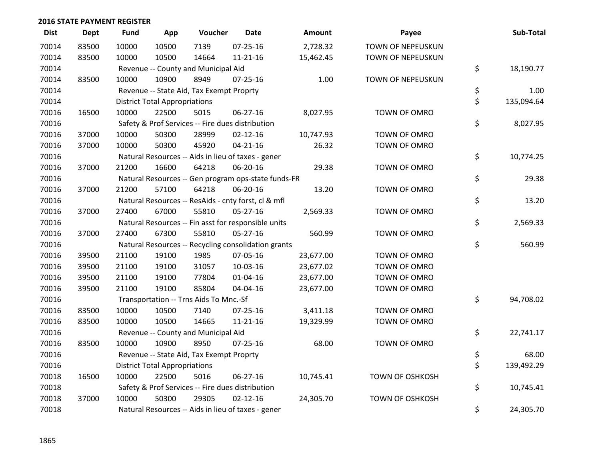| <b>Dist</b> | <b>Dept</b> | <b>Fund</b> | App                                  | Voucher                                          | <b>Date</b>                                         | Amount    | Payee                  | Sub-Total        |
|-------------|-------------|-------------|--------------------------------------|--------------------------------------------------|-----------------------------------------------------|-----------|------------------------|------------------|
| 70014       | 83500       | 10000       | 10500                                | 7139                                             | $07 - 25 - 16$                                      | 2,728.32  | TOWN OF NEPEUSKUN      |                  |
| 70014       | 83500       | 10000       | 10500                                | 14664                                            | $11 - 21 - 16$                                      | 15,462.45 | TOWN OF NEPEUSKUN      |                  |
| 70014       |             |             |                                      | Revenue -- County and Municipal Aid              |                                                     |           |                        | \$<br>18,190.77  |
| 70014       | 83500       | 10000       | 10900                                | 8949                                             | 07-25-16                                            | 1.00      | TOWN OF NEPEUSKUN      |                  |
| 70014       |             |             |                                      | Revenue -- State Aid, Tax Exempt Proprty         |                                                     |           |                        | \$<br>1.00       |
| 70014       |             |             | <b>District Total Appropriations</b> |                                                  |                                                     |           |                        | \$<br>135,094.64 |
| 70016       | 16500       | 10000       | 22500                                | 5015                                             | 06-27-16                                            | 8,027.95  | TOWN OF OMRO           |                  |
| 70016       |             |             |                                      | Safety & Prof Services -- Fire dues distribution |                                                     |           |                        | \$<br>8,027.95   |
| 70016       | 37000       | 10000       | 50300                                | 28999                                            | $02 - 12 - 16$                                      | 10,747.93 | TOWN OF OMRO           |                  |
| 70016       | 37000       | 10000       | 50300                                | 45920                                            | $04 - 21 - 16$                                      | 26.32     | TOWN OF OMRO           |                  |
| 70016       |             |             |                                      |                                                  | Natural Resources -- Aids in lieu of taxes - gener  |           |                        | \$<br>10,774.25  |
| 70016       | 37000       | 21200       | 16600                                | 64218                                            | 06-20-16                                            | 29.38     | TOWN OF OMRO           |                  |
| 70016       |             |             |                                      |                                                  | Natural Resources -- Gen program ops-state funds-FR |           |                        | \$<br>29.38      |
| 70016       | 37000       | 21200       | 57100                                | 64218                                            | 06-20-16                                            | 13.20     | TOWN OF OMRO           |                  |
| 70016       |             |             |                                      |                                                  | Natural Resources -- ResAids - cnty forst, cl & mfl |           |                        | \$<br>13.20      |
| 70016       | 37000       | 27400       | 67000                                | 55810                                            | $05-27-16$                                          | 2,569.33  | TOWN OF OMRO           |                  |
| 70016       |             |             |                                      |                                                  | Natural Resources -- Fin asst for responsible units |           |                        | \$<br>2,569.33   |
| 70016       | 37000       | 27400       | 67300                                | 55810                                            | 05-27-16                                            | 560.99    | TOWN OF OMRO           |                  |
| 70016       |             |             |                                      |                                                  | Natural Resources -- Recycling consolidation grants |           |                        | \$<br>560.99     |
| 70016       | 39500       | 21100       | 19100                                | 1985                                             | 07-05-16                                            | 23,677.00 | TOWN OF OMRO           |                  |
| 70016       | 39500       | 21100       | 19100                                | 31057                                            | 10-03-16                                            | 23,677.02 | TOWN OF OMRO           |                  |
| 70016       | 39500       | 21100       | 19100                                | 77804                                            | $01 - 04 - 16$                                      | 23,677.00 | TOWN OF OMRO           |                  |
| 70016       | 39500       | 21100       | 19100                                | 85804                                            | 04-04-16                                            | 23,677.00 | TOWN OF OMRO           |                  |
| 70016       |             |             |                                      | Transportation -- Trns Aids To Mnc.-Sf           |                                                     |           |                        | \$<br>94,708.02  |
| 70016       | 83500       | 10000       | 10500                                | 7140                                             | $07 - 25 - 16$                                      | 3,411.18  | TOWN OF OMRO           |                  |
| 70016       | 83500       | 10000       | 10500                                | 14665                                            | 11-21-16                                            | 19,329.99 | TOWN OF OMRO           |                  |
| 70016       |             |             |                                      | Revenue -- County and Municipal Aid              |                                                     |           |                        | \$<br>22,741.17  |
| 70016       | 83500       | 10000       | 10900                                | 8950                                             | $07 - 25 - 16$                                      | 68.00     | TOWN OF OMRO           |                  |
| 70016       |             |             |                                      | Revenue -- State Aid, Tax Exempt Proprty         |                                                     |           |                        | \$<br>68.00      |
| 70016       |             |             | <b>District Total Appropriations</b> |                                                  |                                                     |           |                        | \$<br>139,492.29 |
| 70018       | 16500       | 10000       | 22500                                | 5016                                             | 06-27-16                                            | 10,745.41 | <b>TOWN OF OSHKOSH</b> |                  |
| 70018       |             |             |                                      | Safety & Prof Services -- Fire dues distribution |                                                     |           |                        | \$<br>10,745.41  |
| 70018       | 37000       | 10000       | 50300                                | 29305                                            | $02 - 12 - 16$                                      | 24,305.70 | <b>TOWN OF OSHKOSH</b> |                  |
| 70018       |             |             |                                      |                                                  | Natural Resources -- Aids in lieu of taxes - gener  |           |                        | \$<br>24,305.70  |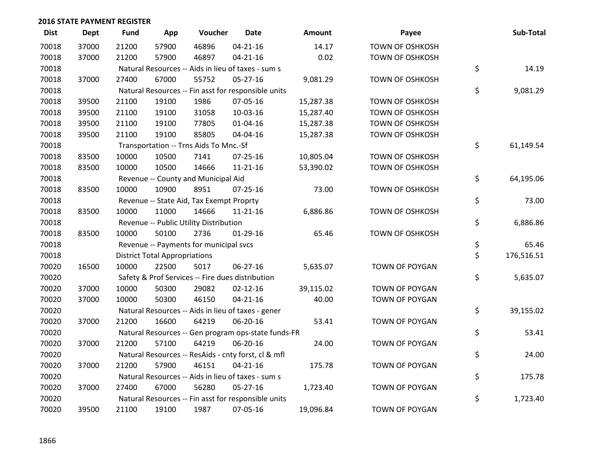| <b>Dist</b> | Dept  | <b>Fund</b> | App                                  | Voucher                                             | <b>Date</b>    | Amount    | Payee                  | Sub-Total        |
|-------------|-------|-------------|--------------------------------------|-----------------------------------------------------|----------------|-----------|------------------------|------------------|
| 70018       | 37000 | 21200       | 57900                                | 46896                                               | $04 - 21 - 16$ | 14.17     | <b>TOWN OF OSHKOSH</b> |                  |
| 70018       | 37000 | 21200       | 57900                                | 46897                                               | $04 - 21 - 16$ | 0.02      | <b>TOWN OF OSHKOSH</b> |                  |
| 70018       |       |             |                                      | Natural Resources -- Aids in lieu of taxes - sum s  |                |           |                        | \$<br>14.19      |
| 70018       | 37000 | 27400       | 67000                                | 55752                                               | $05 - 27 - 16$ | 9,081.29  | <b>TOWN OF OSHKOSH</b> |                  |
| 70018       |       |             |                                      | Natural Resources -- Fin asst for responsible units |                |           |                        | \$<br>9,081.29   |
| 70018       | 39500 | 21100       | 19100                                | 1986                                                | 07-05-16       | 15,287.38 | <b>TOWN OF OSHKOSH</b> |                  |
| 70018       | 39500 | 21100       | 19100                                | 31058                                               | 10-03-16       | 15,287.40 | <b>TOWN OF OSHKOSH</b> |                  |
| 70018       | 39500 | 21100       | 19100                                | 77805                                               | $01 - 04 - 16$ | 15,287.38 | <b>TOWN OF OSHKOSH</b> |                  |
| 70018       | 39500 | 21100       | 19100                                | 85805                                               | 04-04-16       | 15,287.38 | TOWN OF OSHKOSH        |                  |
| 70018       |       |             |                                      | Transportation -- Trns Aids To Mnc.-Sf              |                |           |                        | \$<br>61,149.54  |
| 70018       | 83500 | 10000       | 10500                                | 7141                                                | $07 - 25 - 16$ | 10,805.04 | <b>TOWN OF OSHKOSH</b> |                  |
| 70018       | 83500 | 10000       | 10500                                | 14666                                               | $11 - 21 - 16$ | 53,390.02 | <b>TOWN OF OSHKOSH</b> |                  |
| 70018       |       |             |                                      | Revenue -- County and Municipal Aid                 |                |           |                        | \$<br>64,195.06  |
| 70018       | 83500 | 10000       | 10900                                | 8951                                                | $07 - 25 - 16$ | 73.00     | <b>TOWN OF OSHKOSH</b> |                  |
| 70018       |       |             |                                      | Revenue -- State Aid, Tax Exempt Proprty            |                |           |                        | \$<br>73.00      |
| 70018       | 83500 | 10000       | 11000                                | 14666                                               | $11 - 21 - 16$ | 6,886.86  | <b>TOWN OF OSHKOSH</b> |                  |
| 70018       |       |             |                                      | Revenue -- Public Utility Distribution              |                |           |                        | \$<br>6,886.86   |
| 70018       | 83500 | 10000       | 50100                                | 2736                                                | $01-29-16$     | 65.46     | <b>TOWN OF OSHKOSH</b> |                  |
| 70018       |       |             |                                      | Revenue -- Payments for municipal svcs              |                |           |                        | \$<br>65.46      |
| 70018       |       |             | <b>District Total Appropriations</b> |                                                     |                |           |                        | \$<br>176,516.51 |
| 70020       | 16500 | 10000       | 22500                                | 5017                                                | $06 - 27 - 16$ | 5,635.07  | TOWN OF POYGAN         |                  |
| 70020       |       |             |                                      | Safety & Prof Services -- Fire dues distribution    |                |           |                        | \$<br>5,635.07   |
| 70020       | 37000 | 10000       | 50300                                | 29082                                               | $02 - 12 - 16$ | 39,115.02 | TOWN OF POYGAN         |                  |
| 70020       | 37000 | 10000       | 50300                                | 46150                                               | $04 - 21 - 16$ | 40.00     | TOWN OF POYGAN         |                  |
| 70020       |       |             |                                      | Natural Resources -- Aids in lieu of taxes - gener  |                |           |                        | \$<br>39,155.02  |
| 70020       | 37000 | 21200       | 16600                                | 64219                                               | 06-20-16       | 53.41     | TOWN OF POYGAN         |                  |
| 70020       |       |             |                                      | Natural Resources -- Gen program ops-state funds-FR |                |           |                        | \$<br>53.41      |
| 70020       | 37000 | 21200       | 57100                                | 64219                                               | 06-20-16       | 24.00     | <b>TOWN OF POYGAN</b>  |                  |
| 70020       |       |             |                                      | Natural Resources -- ResAids - cnty forst, cl & mfl |                |           |                        | \$<br>24.00      |
| 70020       | 37000 | 21200       | 57900                                | 46151                                               | $04 - 21 - 16$ | 175.78    | TOWN OF POYGAN         |                  |
| 70020       |       |             |                                      | Natural Resources -- Aids in lieu of taxes - sum s  |                |           |                        | \$<br>175.78     |
| 70020       | 37000 | 27400       | 67000                                | 56280                                               | $05 - 27 - 16$ | 1,723.40  | TOWN OF POYGAN         |                  |
| 70020       |       |             |                                      | Natural Resources -- Fin asst for responsible units |                |           |                        | \$<br>1,723.40   |
| 70020       | 39500 | 21100       | 19100                                | 1987                                                | 07-05-16       | 19,096.84 | <b>TOWN OF POYGAN</b>  |                  |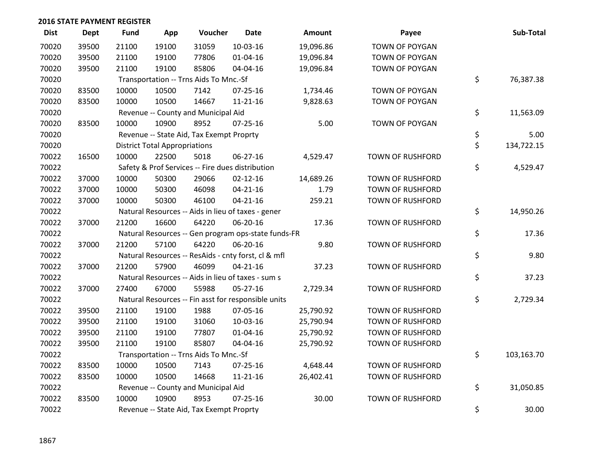| <b>Dist</b> | Dept  | <b>Fund</b> | App                                  | Voucher                                  | <b>Date</b>                                         | Amount    | Payee                   | Sub-Total        |
|-------------|-------|-------------|--------------------------------------|------------------------------------------|-----------------------------------------------------|-----------|-------------------------|------------------|
| 70020       | 39500 | 21100       | 19100                                | 31059                                    | $10-03-16$                                          | 19,096.86 | <b>TOWN OF POYGAN</b>   |                  |
| 70020       | 39500 | 21100       | 19100                                | 77806                                    | 01-04-16                                            | 19,096.84 | TOWN OF POYGAN          |                  |
| 70020       | 39500 | 21100       | 19100                                | 85806                                    | 04-04-16                                            | 19,096.84 | <b>TOWN OF POYGAN</b>   |                  |
| 70020       |       |             |                                      | Transportation -- Trns Aids To Mnc.-Sf   |                                                     |           |                         | \$<br>76,387.38  |
| 70020       | 83500 | 10000       | 10500                                | 7142                                     | $07 - 25 - 16$                                      | 1,734.46  | TOWN OF POYGAN          |                  |
| 70020       | 83500 | 10000       | 10500                                | 14667                                    | $11 - 21 - 16$                                      | 9,828.63  | TOWN OF POYGAN          |                  |
| 70020       |       |             |                                      | Revenue -- County and Municipal Aid      |                                                     |           |                         | \$<br>11,563.09  |
| 70020       | 83500 | 10000       | 10900                                | 8952                                     | $07 - 25 - 16$                                      | 5.00      | <b>TOWN OF POYGAN</b>   |                  |
| 70020       |       |             |                                      | Revenue -- State Aid, Tax Exempt Proprty |                                                     |           |                         | \$<br>5.00       |
| 70020       |       |             | <b>District Total Appropriations</b> |                                          |                                                     |           |                         | \$<br>134,722.15 |
| 70022       | 16500 | 10000       | 22500                                | 5018                                     | 06-27-16                                            | 4,529.47  | <b>TOWN OF RUSHFORD</b> |                  |
| 70022       |       |             |                                      |                                          | Safety & Prof Services -- Fire dues distribution    |           |                         | \$<br>4,529.47   |
| 70022       | 37000 | 10000       | 50300                                | 29066                                    | $02 - 12 - 16$                                      | 14,689.26 | TOWN OF RUSHFORD        |                  |
| 70022       | 37000 | 10000       | 50300                                | 46098                                    | $04 - 21 - 16$                                      | 1.79      | TOWN OF RUSHFORD        |                  |
| 70022       | 37000 | 10000       | 50300                                | 46100                                    | $04 - 21 - 16$                                      | 259.21    | TOWN OF RUSHFORD        |                  |
| 70022       |       |             |                                      |                                          | Natural Resources -- Aids in lieu of taxes - gener  |           |                         | \$<br>14,950.26  |
| 70022       | 37000 | 21200       | 16600                                | 64220                                    | 06-20-16                                            | 17.36     | <b>TOWN OF RUSHFORD</b> |                  |
| 70022       |       |             |                                      |                                          | Natural Resources -- Gen program ops-state funds-FR |           |                         | \$<br>17.36      |
| 70022       | 37000 | 21200       | 57100                                | 64220                                    | 06-20-16                                            | 9.80      | <b>TOWN OF RUSHFORD</b> |                  |
| 70022       |       |             |                                      |                                          | Natural Resources -- ResAids - cnty forst, cl & mfl |           |                         | \$<br>9.80       |
| 70022       | 37000 | 21200       | 57900                                | 46099                                    | $04 - 21 - 16$                                      | 37.23     | TOWN OF RUSHFORD        |                  |
| 70022       |       |             |                                      |                                          | Natural Resources -- Aids in lieu of taxes - sum s  |           |                         | \$<br>37.23      |
| 70022       | 37000 | 27400       | 67000                                | 55988                                    | 05-27-16                                            | 2,729.34  | <b>TOWN OF RUSHFORD</b> |                  |
| 70022       |       |             |                                      |                                          | Natural Resources -- Fin asst for responsible units |           |                         | \$<br>2,729.34   |
| 70022       | 39500 | 21100       | 19100                                | 1988                                     | 07-05-16                                            | 25,790.92 | TOWN OF RUSHFORD        |                  |
| 70022       | 39500 | 21100       | 19100                                | 31060                                    | 10-03-16                                            | 25,790.94 | TOWN OF RUSHFORD        |                  |
| 70022       | 39500 | 21100       | 19100                                | 77807                                    | 01-04-16                                            | 25,790.92 | <b>TOWN OF RUSHFORD</b> |                  |
| 70022       | 39500 | 21100       | 19100                                | 85807                                    | 04-04-16                                            | 25,790.92 | TOWN OF RUSHFORD        |                  |
| 70022       |       |             |                                      | Transportation -- Trns Aids To Mnc.-Sf   |                                                     |           |                         | \$<br>103,163.70 |
| 70022       | 83500 | 10000       | 10500                                | 7143                                     | 07-25-16                                            | 4,648.44  | <b>TOWN OF RUSHFORD</b> |                  |
| 70022       | 83500 | 10000       | 10500                                | 14668                                    | 11-21-16                                            | 26,402.41 | <b>TOWN OF RUSHFORD</b> |                  |
| 70022       |       |             |                                      | Revenue -- County and Municipal Aid      |                                                     |           |                         | \$<br>31,050.85  |
| 70022       | 83500 | 10000       | 10900                                | 8953                                     | $07 - 25 - 16$                                      | 30.00     | <b>TOWN OF RUSHFORD</b> |                  |
| 70022       |       |             |                                      | Revenue -- State Aid, Tax Exempt Proprty |                                                     |           |                         | \$<br>30.00      |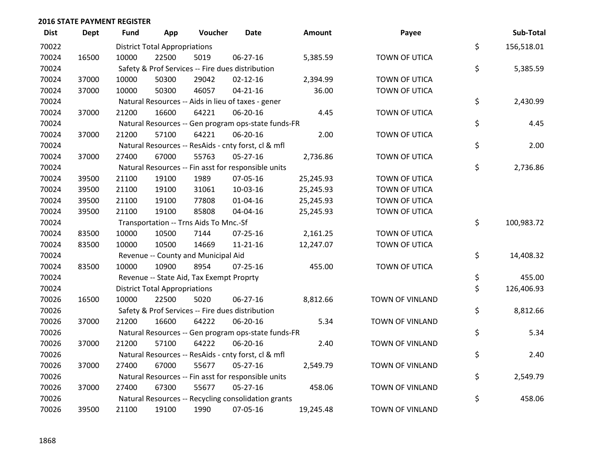| <b>Dist</b> | Dept  | Fund  | App                                  | Voucher                                             | Date           | <b>Amount</b> | Payee                  | Sub-Total        |
|-------------|-------|-------|--------------------------------------|-----------------------------------------------------|----------------|---------------|------------------------|------------------|
| 70022       |       |       | <b>District Total Appropriations</b> |                                                     |                |               |                        | \$<br>156,518.01 |
| 70024       | 16500 | 10000 | 22500                                | 5019                                                | 06-27-16       | 5,385.59      | TOWN OF UTICA          |                  |
| 70024       |       |       |                                      | Safety & Prof Services -- Fire dues distribution    |                |               |                        | \$<br>5,385.59   |
| 70024       | 37000 | 10000 | 50300                                | 29042                                               | $02 - 12 - 16$ | 2,394.99      | TOWN OF UTICA          |                  |
| 70024       | 37000 | 10000 | 50300                                | 46057                                               | $04 - 21 - 16$ | 36.00         | TOWN OF UTICA          |                  |
| 70024       |       |       |                                      | Natural Resources -- Aids in lieu of taxes - gener  |                |               |                        | \$<br>2,430.99   |
| 70024       | 37000 | 21200 | 16600                                | 64221                                               | 06-20-16       | 4.45          | TOWN OF UTICA          |                  |
| 70024       |       |       |                                      | Natural Resources -- Gen program ops-state funds-FR |                |               |                        | \$<br>4.45       |
| 70024       | 37000 | 21200 | 57100                                | 64221                                               | 06-20-16       | 2.00          | TOWN OF UTICA          |                  |
| 70024       |       |       |                                      | Natural Resources -- ResAids - cnty forst, cl & mfl |                |               |                        | \$<br>2.00       |
| 70024       | 37000 | 27400 | 67000                                | 55763                                               | $05-27-16$     | 2,736.86      | TOWN OF UTICA          |                  |
| 70024       |       |       |                                      | Natural Resources -- Fin asst for responsible units |                |               |                        | \$<br>2,736.86   |
| 70024       | 39500 | 21100 | 19100                                | 1989                                                | 07-05-16       | 25,245.93     | TOWN OF UTICA          |                  |
| 70024       | 39500 | 21100 | 19100                                | 31061                                               | 10-03-16       | 25,245.93     | TOWN OF UTICA          |                  |
| 70024       | 39500 | 21100 | 19100                                | 77808                                               | $01 - 04 - 16$ | 25,245.93     | TOWN OF UTICA          |                  |
| 70024       | 39500 | 21100 | 19100                                | 85808                                               | 04-04-16       | 25,245.93     | TOWN OF UTICA          |                  |
| 70024       |       |       |                                      | Transportation -- Trns Aids To Mnc.-Sf              |                |               |                        | \$<br>100,983.72 |
| 70024       | 83500 | 10000 | 10500                                | 7144                                                | $07 - 25 - 16$ | 2,161.25      | TOWN OF UTICA          |                  |
| 70024       | 83500 | 10000 | 10500                                | 14669                                               | $11 - 21 - 16$ | 12,247.07     | TOWN OF UTICA          |                  |
| 70024       |       |       |                                      | Revenue -- County and Municipal Aid                 |                |               |                        | \$<br>14,408.32  |
| 70024       | 83500 | 10000 | 10900                                | 8954                                                | $07 - 25 - 16$ | 455.00        | TOWN OF UTICA          |                  |
| 70024       |       |       |                                      | Revenue -- State Aid, Tax Exempt Proprty            |                |               |                        | \$<br>455.00     |
| 70024       |       |       | <b>District Total Appropriations</b> |                                                     |                |               |                        | \$<br>126,406.93 |
| 70026       | 16500 | 10000 | 22500                                | 5020                                                | 06-27-16       | 8,812.66      | TOWN OF VINLAND        |                  |
| 70026       |       |       |                                      | Safety & Prof Services -- Fire dues distribution    |                |               |                        | \$<br>8,812.66   |
| 70026       | 37000 | 21200 | 16600                                | 64222                                               | 06-20-16       | 5.34          | <b>TOWN OF VINLAND</b> |                  |
| 70026       |       |       |                                      | Natural Resources -- Gen program ops-state funds-FR |                |               |                        | \$<br>5.34       |
| 70026       | 37000 | 21200 | 57100                                | 64222                                               | 06-20-16       | 2.40          | TOWN OF VINLAND        |                  |
| 70026       |       |       |                                      | Natural Resources -- ResAids - cnty forst, cl & mfl |                |               |                        | \$<br>2.40       |
| 70026       | 37000 | 27400 | 67000                                | 55677                                               | $05 - 27 - 16$ | 2,549.79      | <b>TOWN OF VINLAND</b> |                  |
| 70026       |       |       |                                      | Natural Resources -- Fin asst for responsible units |                |               |                        | \$<br>2,549.79   |
| 70026       | 37000 | 27400 | 67300                                | 55677                                               | 05-27-16       | 458.06        | TOWN OF VINLAND        |                  |
| 70026       |       |       |                                      | Natural Resources -- Recycling consolidation grants |                |               |                        | \$<br>458.06     |
| 70026       | 39500 | 21100 | 19100                                | 1990                                                | 07-05-16       | 19,245.48     | TOWN OF VINLAND        |                  |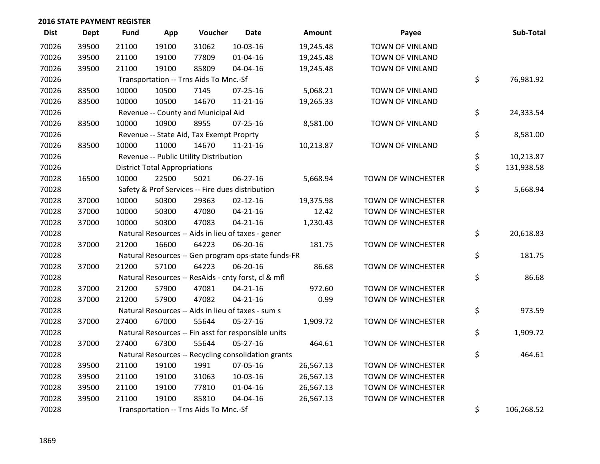| <b>Dist</b> | Dept  | <b>Fund</b> | App                                  | Voucher                                  | <b>Date</b>                                         | Amount    | Payee                     | Sub-Total        |
|-------------|-------|-------------|--------------------------------------|------------------------------------------|-----------------------------------------------------|-----------|---------------------------|------------------|
| 70026       | 39500 | 21100       | 19100                                | 31062                                    | 10-03-16                                            | 19,245.48 | <b>TOWN OF VINLAND</b>    |                  |
| 70026       | 39500 | 21100       | 19100                                | 77809                                    | $01 - 04 - 16$                                      | 19,245.48 | TOWN OF VINLAND           |                  |
| 70026       | 39500 | 21100       | 19100                                | 85809                                    | 04-04-16                                            | 19,245.48 | TOWN OF VINLAND           |                  |
| 70026       |       |             |                                      | Transportation -- Trns Aids To Mnc.-Sf   |                                                     |           |                           | \$<br>76,981.92  |
| 70026       | 83500 | 10000       | 10500                                | 7145                                     | $07 - 25 - 16$                                      | 5,068.21  | <b>TOWN OF VINLAND</b>    |                  |
| 70026       | 83500 | 10000       | 10500                                | 14670                                    | $11 - 21 - 16$                                      | 19,265.33 | TOWN OF VINLAND           |                  |
| 70026       |       |             |                                      | Revenue -- County and Municipal Aid      |                                                     |           |                           | \$<br>24,333.54  |
| 70026       | 83500 | 10000       | 10900                                | 8955                                     | 07-25-16                                            | 8,581.00  | TOWN OF VINLAND           |                  |
| 70026       |       |             |                                      | Revenue -- State Aid, Tax Exempt Proprty |                                                     |           |                           | \$<br>8,581.00   |
| 70026       | 83500 | 10000       | 11000                                | 14670                                    | $11 - 21 - 16$                                      | 10,213.87 | TOWN OF VINLAND           |                  |
| 70026       |       |             |                                      | Revenue -- Public Utility Distribution   |                                                     |           |                           | \$<br>10,213.87  |
| 70026       |       |             | <b>District Total Appropriations</b> |                                          |                                                     |           |                           | \$<br>131,938.58 |
| 70028       | 16500 | 10000       | 22500                                | 5021                                     | 06-27-16                                            | 5,668.94  | TOWN OF WINCHESTER        |                  |
| 70028       |       |             |                                      |                                          | Safety & Prof Services -- Fire dues distribution    |           |                           | \$<br>5,668.94   |
| 70028       | 37000 | 10000       | 50300                                | 29363                                    | $02 - 12 - 16$                                      | 19,375.98 | <b>TOWN OF WINCHESTER</b> |                  |
| 70028       | 37000 | 10000       | 50300                                | 47080                                    | $04 - 21 - 16$                                      | 12.42     | TOWN OF WINCHESTER        |                  |
| 70028       | 37000 | 10000       | 50300                                | 47083                                    | $04 - 21 - 16$                                      | 1,230.43  | TOWN OF WINCHESTER        |                  |
| 70028       |       |             |                                      |                                          | Natural Resources -- Aids in lieu of taxes - gener  |           |                           | \$<br>20,618.83  |
| 70028       | 37000 | 21200       | 16600                                | 64223                                    | 06-20-16                                            | 181.75    | TOWN OF WINCHESTER        |                  |
| 70028       |       |             |                                      |                                          | Natural Resources -- Gen program ops-state funds-FR |           |                           | \$<br>181.75     |
| 70028       | 37000 | 21200       | 57100                                | 64223                                    | 06-20-16                                            | 86.68     | TOWN OF WINCHESTER        |                  |
| 70028       |       |             |                                      |                                          | Natural Resources -- ResAids - cnty forst, cl & mfl |           |                           | \$<br>86.68      |
| 70028       | 37000 | 21200       | 57900                                | 47081                                    | $04 - 21 - 16$                                      | 972.60    | TOWN OF WINCHESTER        |                  |
| 70028       | 37000 | 21200       | 57900                                | 47082                                    | $04 - 21 - 16$                                      | 0.99      | TOWN OF WINCHESTER        |                  |
| 70028       |       |             |                                      |                                          | Natural Resources -- Aids in lieu of taxes - sum s  |           |                           | \$<br>973.59     |
| 70028       | 37000 | 27400       | 67000                                | 55644                                    | 05-27-16                                            | 1,909.72  | TOWN OF WINCHESTER        |                  |
| 70028       |       |             |                                      |                                          | Natural Resources -- Fin asst for responsible units |           |                           | \$<br>1,909.72   |
| 70028       | 37000 | 27400       | 67300                                | 55644                                    | $05 - 27 - 16$                                      | 464.61    | TOWN OF WINCHESTER        |                  |
| 70028       |       |             |                                      |                                          | Natural Resources -- Recycling consolidation grants |           |                           | \$<br>464.61     |
| 70028       | 39500 | 21100       | 19100                                | 1991                                     | 07-05-16                                            | 26,567.13 | <b>TOWN OF WINCHESTER</b> |                  |
| 70028       | 39500 | 21100       | 19100                                | 31063                                    | 10-03-16                                            | 26,567.13 | TOWN OF WINCHESTER        |                  |
| 70028       | 39500 | 21100       | 19100                                | 77810                                    | 01-04-16                                            | 26,567.13 | TOWN OF WINCHESTER        |                  |
| 70028       | 39500 | 21100       | 19100                                | 85810                                    | 04-04-16                                            | 26,567.13 | <b>TOWN OF WINCHESTER</b> |                  |
| 70028       |       |             |                                      | Transportation -- Trns Aids To Mnc.-Sf   |                                                     |           |                           | \$<br>106,268.52 |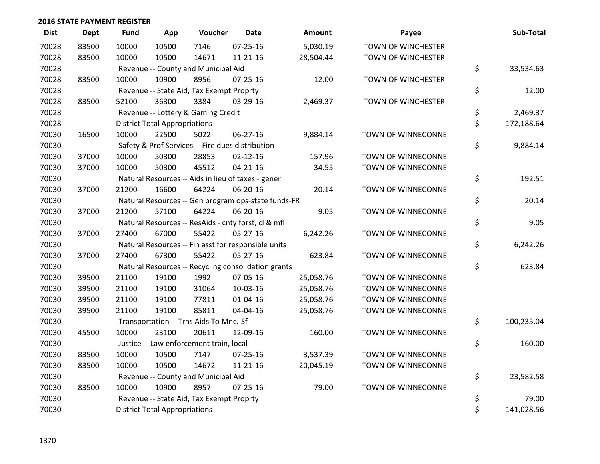| <b>Dist</b> | <b>Dept</b> | <b>Fund</b> | App                                  | Voucher                                          | <b>Date</b>                                         | Amount    | Payee                     | Sub-Total        |
|-------------|-------------|-------------|--------------------------------------|--------------------------------------------------|-----------------------------------------------------|-----------|---------------------------|------------------|
| 70028       | 83500       | 10000       | 10500                                | 7146                                             | $07 - 25 - 16$                                      | 5,030.19  | TOWN OF WINCHESTER        |                  |
| 70028       | 83500       | 10000       | 10500                                | 14671                                            | $11 - 21 - 16$                                      | 28,504.44 | <b>TOWN OF WINCHESTER</b> |                  |
| 70028       |             |             |                                      | Revenue -- County and Municipal Aid              |                                                     |           |                           | \$<br>33,534.63  |
| 70028       | 83500       | 10000       | 10900                                | 8956                                             | $07 - 25 - 16$                                      | 12.00     | TOWN OF WINCHESTER        |                  |
| 70028       |             |             |                                      | Revenue -- State Aid, Tax Exempt Proprty         |                                                     |           |                           | \$<br>12.00      |
| 70028       | 83500       | 52100       | 36300                                | 3384                                             | 03-29-16                                            | 2,469.37  | TOWN OF WINCHESTER        |                  |
| 70028       |             |             |                                      | Revenue -- Lottery & Gaming Credit               |                                                     |           |                           | \$<br>2,469.37   |
| 70028       |             |             | <b>District Total Appropriations</b> |                                                  |                                                     |           |                           | \$<br>172,188.64 |
| 70030       | 16500       | 10000       | 22500                                | 5022                                             | 06-27-16                                            | 9,884.14  | TOWN OF WINNECONNE        |                  |
| 70030       |             |             |                                      | Safety & Prof Services -- Fire dues distribution |                                                     |           |                           | \$<br>9,884.14   |
| 70030       | 37000       | 10000       | 50300                                | 28853                                            | $02 - 12 - 16$                                      | 157.96    | TOWN OF WINNECONNE        |                  |
| 70030       | 37000       | 10000       | 50300                                | 45512                                            | $04 - 21 - 16$                                      | 34.55     | TOWN OF WINNECONNE        |                  |
| 70030       |             |             |                                      |                                                  | Natural Resources -- Aids in lieu of taxes - gener  |           |                           | \$<br>192.51     |
| 70030       | 37000       | 21200       | 16600                                | 64224                                            | 06-20-16                                            | 20.14     | TOWN OF WINNECONNE        |                  |
| 70030       |             |             |                                      |                                                  | Natural Resources -- Gen program ops-state funds-FR |           |                           | \$<br>20.14      |
| 70030       | 37000       | 21200       | 57100                                | 64224                                            | 06-20-16                                            | 9.05      | TOWN OF WINNECONNE        |                  |
| 70030       |             |             |                                      |                                                  | Natural Resources -- ResAids - cnty forst, cl & mfl |           |                           | \$<br>9.05       |
| 70030       | 37000       | 27400       | 67000                                | 55422                                            | $05 - 27 - 16$                                      | 6,242.26  | TOWN OF WINNECONNE        |                  |
| 70030       |             |             |                                      |                                                  | Natural Resources -- Fin asst for responsible units |           |                           | \$<br>6,242.26   |
| 70030       | 37000       | 27400       | 67300                                | 55422                                            | $05 - 27 - 16$                                      | 623.84    | TOWN OF WINNECONNE        |                  |
| 70030       |             |             |                                      |                                                  | Natural Resources -- Recycling consolidation grants |           |                           | \$<br>623.84     |
| 70030       | 39500       | 21100       | 19100                                | 1992                                             | 07-05-16                                            | 25,058.76 | TOWN OF WINNECONNE        |                  |
| 70030       | 39500       | 21100       | 19100                                | 31064                                            | 10-03-16                                            | 25,058.76 | TOWN OF WINNECONNE        |                  |
| 70030       | 39500       | 21100       | 19100                                | 77811                                            | $01 - 04 - 16$                                      | 25,058.76 | TOWN OF WINNECONNE        |                  |
| 70030       | 39500       | 21100       | 19100                                | 85811                                            | 04-04-16                                            | 25,058.76 | TOWN OF WINNECONNE        |                  |
| 70030       |             |             |                                      | Transportation -- Trns Aids To Mnc.-Sf           |                                                     |           |                           | \$<br>100,235.04 |
| 70030       | 45500       | 10000       | 23100                                | 20611                                            | 12-09-16                                            | 160.00    | TOWN OF WINNECONNE        |                  |
| 70030       |             |             |                                      | Justice -- Law enforcement train, local          |                                                     |           |                           | \$<br>160.00     |
| 70030       | 83500       | 10000       | 10500                                | 7147                                             | $07 - 25 - 16$                                      | 3,537.39  | TOWN OF WINNECONNE        |                  |
| 70030       | 83500       | 10000       | 10500                                | 14672                                            | $11 - 21 - 16$                                      | 20,045.19 | TOWN OF WINNECONNE        |                  |
| 70030       |             |             |                                      | Revenue -- County and Municipal Aid              |                                                     |           |                           | \$<br>23,582.58  |
| 70030       | 83500       | 10000       | 10900                                | 8957                                             | $07 - 25 - 16$                                      | 79.00     | TOWN OF WINNECONNE        |                  |
| 70030       |             |             |                                      | Revenue -- State Aid, Tax Exempt Proprty         |                                                     |           |                           | \$<br>79.00      |
| 70030       |             |             | <b>District Total Appropriations</b> |                                                  |                                                     |           |                           | \$<br>141,028.56 |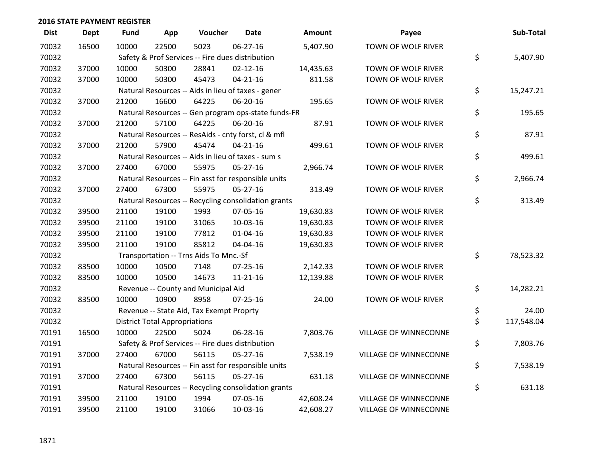| <b>Dist</b> | Dept  | <b>Fund</b> | App                                  | Voucher                                             | <b>Date</b>    | <b>Amount</b> | Payee                        | Sub-Total        |
|-------------|-------|-------------|--------------------------------------|-----------------------------------------------------|----------------|---------------|------------------------------|------------------|
| 70032       | 16500 | 10000       | 22500                                | 5023                                                | $06 - 27 - 16$ | 5,407.90      | TOWN OF WOLF RIVER           |                  |
| 70032       |       |             |                                      | Safety & Prof Services -- Fire dues distribution    |                |               |                              | \$<br>5,407.90   |
| 70032       | 37000 | 10000       | 50300                                | 28841                                               | $02 - 12 - 16$ | 14,435.63     | TOWN OF WOLF RIVER           |                  |
| 70032       | 37000 | 10000       | 50300                                | 45473                                               | $04 - 21 - 16$ | 811.58        | TOWN OF WOLF RIVER           |                  |
| 70032       |       |             |                                      | Natural Resources -- Aids in lieu of taxes - gener  |                |               |                              | \$<br>15,247.21  |
| 70032       | 37000 | 21200       | 16600                                | 64225                                               | 06-20-16       | 195.65        | TOWN OF WOLF RIVER           |                  |
| 70032       |       |             |                                      | Natural Resources -- Gen program ops-state funds-FR |                |               |                              | \$<br>195.65     |
| 70032       | 37000 | 21200       | 57100                                | 64225                                               | 06-20-16       | 87.91         | TOWN OF WOLF RIVER           |                  |
| 70032       |       |             |                                      | Natural Resources -- ResAids - cnty forst, cl & mfl |                |               |                              | \$<br>87.91      |
| 70032       | 37000 | 21200       | 57900                                | 45474                                               | $04 - 21 - 16$ | 499.61        | TOWN OF WOLF RIVER           |                  |
| 70032       |       |             |                                      | Natural Resources -- Aids in lieu of taxes - sum s  |                |               |                              | \$<br>499.61     |
| 70032       | 37000 | 27400       | 67000                                | 55975                                               | $05 - 27 - 16$ | 2,966.74      | TOWN OF WOLF RIVER           |                  |
| 70032       |       |             |                                      | Natural Resources -- Fin asst for responsible units |                |               |                              | \$<br>2,966.74   |
| 70032       | 37000 | 27400       | 67300                                | 55975                                               | $05 - 27 - 16$ | 313.49        | TOWN OF WOLF RIVER           |                  |
| 70032       |       |             |                                      | Natural Resources -- Recycling consolidation grants |                |               |                              | \$<br>313.49     |
| 70032       | 39500 | 21100       | 19100                                | 1993                                                | 07-05-16       | 19,630.83     | TOWN OF WOLF RIVER           |                  |
| 70032       | 39500 | 21100       | 19100                                | 31065                                               | 10-03-16       | 19,630.83     | TOWN OF WOLF RIVER           |                  |
| 70032       | 39500 | 21100       | 19100                                | 77812                                               | $01 - 04 - 16$ | 19,630.83     | TOWN OF WOLF RIVER           |                  |
| 70032       | 39500 | 21100       | 19100                                | 85812                                               | 04-04-16       | 19,630.83     | TOWN OF WOLF RIVER           |                  |
| 70032       |       |             |                                      | Transportation -- Trns Aids To Mnc.-Sf              |                |               |                              | \$<br>78,523.32  |
| 70032       | 83500 | 10000       | 10500                                | 7148                                                | $07 - 25 - 16$ | 2,142.33      | TOWN OF WOLF RIVER           |                  |
| 70032       | 83500 | 10000       | 10500                                | 14673                                               | $11 - 21 - 16$ | 12,139.88     | TOWN OF WOLF RIVER           |                  |
| 70032       |       |             |                                      | Revenue -- County and Municipal Aid                 |                |               |                              | \$<br>14,282.21  |
| 70032       | 83500 | 10000       | 10900                                | 8958                                                | $07 - 25 - 16$ | 24.00         | TOWN OF WOLF RIVER           |                  |
| 70032       |       |             |                                      | Revenue -- State Aid, Tax Exempt Proprty            |                |               |                              | \$<br>24.00      |
| 70032       |       |             | <b>District Total Appropriations</b> |                                                     |                |               |                              | \$<br>117,548.04 |
| 70191       | 16500 | 10000       | 22500                                | 5024                                                | 06-28-16       | 7,803.76      | VILLAGE OF WINNECONNE        |                  |
| 70191       |       |             |                                      | Safety & Prof Services -- Fire dues distribution    |                |               |                              | \$<br>7,803.76   |
| 70191       | 37000 | 27400       | 67000                                | 56115                                               | $05 - 27 - 16$ | 7,538.19      | <b>VILLAGE OF WINNECONNE</b> |                  |
| 70191       |       |             |                                      | Natural Resources -- Fin asst for responsible units |                |               |                              | \$<br>7,538.19   |
| 70191       | 37000 | 27400       | 67300                                | 56115                                               | 05-27-16       | 631.18        | VILLAGE OF WINNECONNE        |                  |
| 70191       |       |             |                                      | Natural Resources -- Recycling consolidation grants |                |               |                              | \$<br>631.18     |
| 70191       | 39500 | 21100       | 19100                                | 1994                                                | 07-05-16       | 42,608.24     | VILLAGE OF WINNECONNE        |                  |
| 70191       | 39500 | 21100       | 19100                                | 31066                                               | 10-03-16       | 42,608.27     | <b>VILLAGE OF WINNECONNE</b> |                  |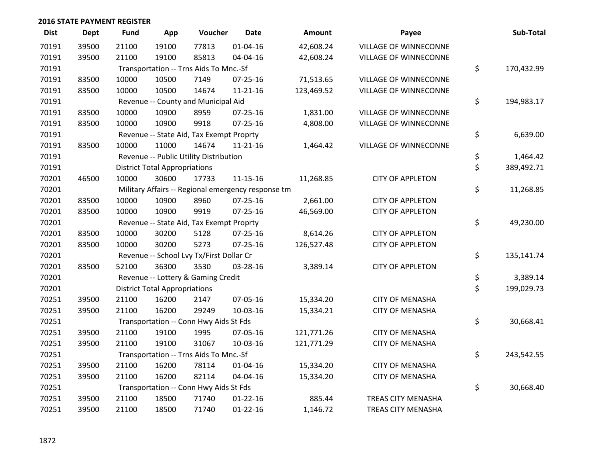| <b>Dist</b> | <b>Dept</b> | Fund  | App                                  | Voucher                                            | <b>Date</b>    | <b>Amount</b> | Payee                        | Sub-Total        |
|-------------|-------------|-------|--------------------------------------|----------------------------------------------------|----------------|---------------|------------------------------|------------------|
| 70191       | 39500       | 21100 | 19100                                | 77813                                              | $01 - 04 - 16$ | 42,608.24     | <b>VILLAGE OF WINNECONNE</b> |                  |
| 70191       | 39500       | 21100 | 19100                                | 85813                                              | 04-04-16       | 42,608.24     | VILLAGE OF WINNECONNE        |                  |
| 70191       |             |       |                                      | Transportation -- Trns Aids To Mnc.-Sf             |                |               |                              | \$<br>170,432.99 |
| 70191       | 83500       | 10000 | 10500                                | 7149                                               | $07 - 25 - 16$ | 71,513.65     | VILLAGE OF WINNECONNE        |                  |
| 70191       | 83500       | 10000 | 10500                                | 14674                                              | $11 - 21 - 16$ | 123,469.52    | VILLAGE OF WINNECONNE        |                  |
| 70191       |             |       |                                      | Revenue -- County and Municipal Aid                |                |               |                              | \$<br>194,983.17 |
| 70191       | 83500       | 10000 | 10900                                | 8959                                               | $07 - 25 - 16$ | 1,831.00      | <b>VILLAGE OF WINNECONNE</b> |                  |
| 70191       | 83500       | 10000 | 10900                                | 9918                                               | $07 - 25 - 16$ | 4,808.00      | VILLAGE OF WINNECONNE        |                  |
| 70191       |             |       |                                      | Revenue -- State Aid, Tax Exempt Proprty           |                |               |                              | \$<br>6,639.00   |
| 70191       | 83500       | 10000 | 11000                                | 14674                                              | $11 - 21 - 16$ | 1,464.42      | VILLAGE OF WINNECONNE        |                  |
| 70191       |             |       |                                      | Revenue -- Public Utility Distribution             |                |               |                              | \$<br>1,464.42   |
| 70191       |             |       | <b>District Total Appropriations</b> |                                                    |                |               |                              | \$<br>389,492.71 |
| 70201       | 46500       | 10000 | 30600                                | 17733                                              | $11 - 15 - 16$ | 11,268.85     | <b>CITY OF APPLETON</b>      |                  |
| 70201       |             |       |                                      | Military Affairs -- Regional emergency response tm |                |               |                              | \$<br>11,268.85  |
| 70201       | 83500       | 10000 | 10900                                | 8960                                               | $07 - 25 - 16$ | 2,661.00      | <b>CITY OF APPLETON</b>      |                  |
| 70201       | 83500       | 10000 | 10900                                | 9919                                               | $07 - 25 - 16$ | 46,569.00     | <b>CITY OF APPLETON</b>      |                  |
| 70201       |             |       |                                      | Revenue -- State Aid, Tax Exempt Proprty           |                |               |                              | \$<br>49,230.00  |
| 70201       | 83500       | 10000 | 30200                                | 5128                                               | $07 - 25 - 16$ | 8,614.26      | <b>CITY OF APPLETON</b>      |                  |
| 70201       | 83500       | 10000 | 30200                                | 5273                                               | $07 - 25 - 16$ | 126,527.48    | <b>CITY OF APPLETON</b>      |                  |
| 70201       |             |       |                                      | Revenue -- School Lvy Tx/First Dollar Cr           |                |               |                              | \$<br>135,141.74 |
| 70201       | 83500       | 52100 | 36300                                | 3530                                               | 03-28-16       | 3,389.14      | <b>CITY OF APPLETON</b>      |                  |
| 70201       |             |       |                                      | Revenue -- Lottery & Gaming Credit                 |                |               |                              | \$<br>3,389.14   |
| 70201       |             |       | <b>District Total Appropriations</b> |                                                    |                |               |                              | \$<br>199,029.73 |
| 70251       | 39500       | 21100 | 16200                                | 2147                                               | 07-05-16       | 15,334.20     | <b>CITY OF MENASHA</b>       |                  |
| 70251       | 39500       | 21100 | 16200                                | 29249                                              | 10-03-16       | 15,334.21     | <b>CITY OF MENASHA</b>       |                  |
| 70251       |             |       |                                      | Transportation -- Conn Hwy Aids St Fds             |                |               |                              | \$<br>30,668.41  |
| 70251       | 39500       | 21100 | 19100                                | 1995                                               | 07-05-16       | 121,771.26    | <b>CITY OF MENASHA</b>       |                  |
| 70251       | 39500       | 21100 | 19100                                | 31067                                              | 10-03-16       | 121,771.29    | <b>CITY OF MENASHA</b>       |                  |
| 70251       |             |       |                                      | Transportation -- Trns Aids To Mnc.-Sf             |                |               |                              | \$<br>243,542.55 |
| 70251       | 39500       | 21100 | 16200                                | 78114                                              | $01 - 04 - 16$ | 15,334.20     | <b>CITY OF MENASHA</b>       |                  |
| 70251       | 39500       | 21100 | 16200                                | 82114                                              | 04-04-16       | 15,334.20     | <b>CITY OF MENASHA</b>       |                  |
| 70251       |             |       |                                      | Transportation -- Conn Hwy Aids St Fds             |                |               |                              | \$<br>30,668.40  |
| 70251       | 39500       | 21100 | 18500                                | 71740                                              | $01 - 22 - 16$ | 885.44        | TREAS CITY MENASHA           |                  |
| 70251       | 39500       | 21100 | 18500                                | 71740                                              | $01 - 22 - 16$ | 1,146.72      | TREAS CITY MENASHA           |                  |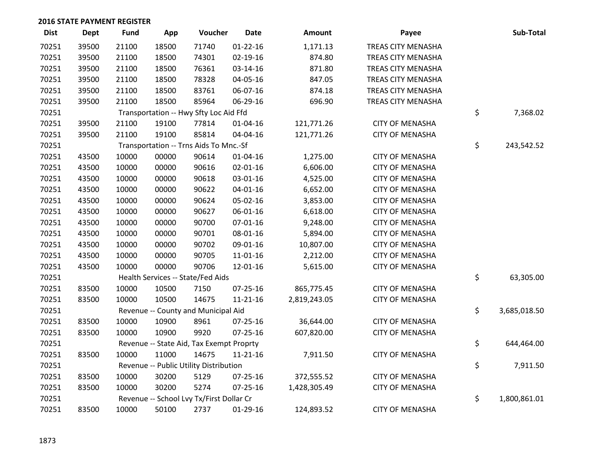| <b>Dist</b> | <b>Dept</b> | <b>Fund</b> | App   | Voucher                                  | <b>Date</b>    | Amount       | Payee                     | Sub-Total          |
|-------------|-------------|-------------|-------|------------------------------------------|----------------|--------------|---------------------------|--------------------|
| 70251       | 39500       | 21100       | 18500 | 71740                                    | $01 - 22 - 16$ | 1,171.13     | TREAS CITY MENASHA        |                    |
| 70251       | 39500       | 21100       | 18500 | 74301                                    | $02 - 19 - 16$ | 874.80       | <b>TREAS CITY MENASHA</b> |                    |
| 70251       | 39500       | 21100       | 18500 | 76361                                    | $03 - 14 - 16$ | 871.80       | TREAS CITY MENASHA        |                    |
| 70251       | 39500       | 21100       | 18500 | 78328                                    | 04-05-16       | 847.05       | <b>TREAS CITY MENASHA</b> |                    |
| 70251       | 39500       | 21100       | 18500 | 83761                                    | 06-07-16       | 874.18       | TREAS CITY MENASHA        |                    |
| 70251       | 39500       | 21100       | 18500 | 85964                                    | 06-29-16       | 696.90       | TREAS CITY MENASHA        |                    |
| 70251       |             |             |       | Transportation -- Hwy Sfty Loc Aid Ffd   |                |              |                           | \$<br>7,368.02     |
| 70251       | 39500       | 21100       | 19100 | 77814                                    | $01 - 04 - 16$ | 121,771.26   | <b>CITY OF MENASHA</b>    |                    |
| 70251       | 39500       | 21100       | 19100 | 85814                                    | 04-04-16       | 121,771.26   | <b>CITY OF MENASHA</b>    |                    |
| 70251       |             |             |       | Transportation -- Trns Aids To Mnc.-Sf   |                |              |                           | \$<br>243,542.52   |
| 70251       | 43500       | 10000       | 00000 | 90614                                    | $01 - 04 - 16$ | 1,275.00     | <b>CITY OF MENASHA</b>    |                    |
| 70251       | 43500       | 10000       | 00000 | 90616                                    | $02 - 01 - 16$ | 6,606.00     | <b>CITY OF MENASHA</b>    |                    |
| 70251       | 43500       | 10000       | 00000 | 90618                                    | 03-01-16       | 4,525.00     | <b>CITY OF MENASHA</b>    |                    |
| 70251       | 43500       | 10000       | 00000 | 90622                                    | $04 - 01 - 16$ | 6,652.00     | <b>CITY OF MENASHA</b>    |                    |
| 70251       | 43500       | 10000       | 00000 | 90624                                    | 05-02-16       | 3,853.00     | <b>CITY OF MENASHA</b>    |                    |
| 70251       | 43500       | 10000       | 00000 | 90627                                    | 06-01-16       | 6,618.00     | <b>CITY OF MENASHA</b>    |                    |
| 70251       | 43500       | 10000       | 00000 | 90700                                    | 07-01-16       | 9,248.00     | <b>CITY OF MENASHA</b>    |                    |
| 70251       | 43500       | 10000       | 00000 | 90701                                    | 08-01-16       | 5,894.00     | <b>CITY OF MENASHA</b>    |                    |
| 70251       | 43500       | 10000       | 00000 | 90702                                    | 09-01-16       | 10,807.00    | <b>CITY OF MENASHA</b>    |                    |
| 70251       | 43500       | 10000       | 00000 | 90705                                    | $11 - 01 - 16$ | 2,212.00     | <b>CITY OF MENASHA</b>    |                    |
| 70251       | 43500       | 10000       | 00000 | 90706                                    | 12-01-16       | 5,615.00     | <b>CITY OF MENASHA</b>    |                    |
| 70251       |             |             |       | Health Services -- State/Fed Aids        |                |              |                           | \$<br>63,305.00    |
| 70251       | 83500       | 10000       | 10500 | 7150                                     | 07-25-16       | 865,775.45   | <b>CITY OF MENASHA</b>    |                    |
| 70251       | 83500       | 10000       | 10500 | 14675                                    | $11 - 21 - 16$ | 2,819,243.05 | <b>CITY OF MENASHA</b>    |                    |
| 70251       |             |             |       | Revenue -- County and Municipal Aid      |                |              |                           | \$<br>3,685,018.50 |
| 70251       | 83500       | 10000       | 10900 | 8961                                     | 07-25-16       | 36,644.00    | <b>CITY OF MENASHA</b>    |                    |
| 70251       | 83500       | 10000       | 10900 | 9920                                     | 07-25-16       | 607,820.00   | <b>CITY OF MENASHA</b>    |                    |
| 70251       |             |             |       | Revenue -- State Aid, Tax Exempt Proprty |                |              |                           | \$<br>644,464.00   |
| 70251       | 83500       | 10000       | 11000 | 14675                                    | $11 - 21 - 16$ | 7,911.50     | <b>CITY OF MENASHA</b>    |                    |
| 70251       |             |             |       | Revenue -- Public Utility Distribution   |                |              |                           | \$<br>7,911.50     |
| 70251       | 83500       | 10000       | 30200 | 5129                                     | 07-25-16       | 372,555.52   | <b>CITY OF MENASHA</b>    |                    |
| 70251       | 83500       | 10000       | 30200 | 5274                                     | 07-25-16       | 1,428,305.49 | <b>CITY OF MENASHA</b>    |                    |
| 70251       |             |             |       | Revenue -- School Lvy Tx/First Dollar Cr |                |              |                           | \$<br>1,800,861.01 |
| 70251       | 83500       | 10000       | 50100 | 2737                                     | $01-29-16$     | 124,893.52   | <b>CITY OF MENASHA</b>    |                    |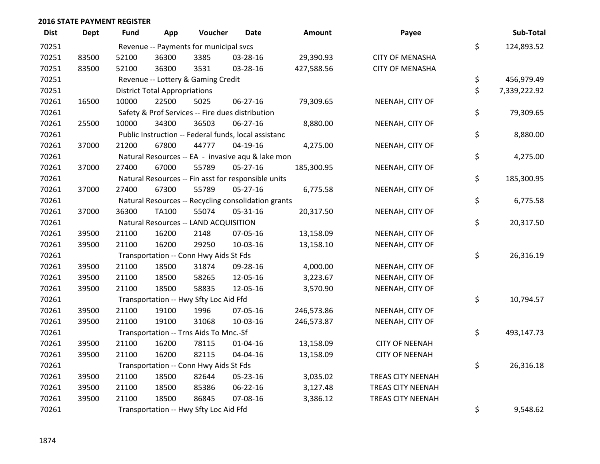| <b>Dist</b> | <b>Dept</b> | Fund  | App                                  | Voucher                                | Date                                                 | <b>Amount</b> | Payee                  | Sub-Total          |
|-------------|-------------|-------|--------------------------------------|----------------------------------------|------------------------------------------------------|---------------|------------------------|--------------------|
| 70251       |             |       |                                      | Revenue -- Payments for municipal svcs |                                                      |               |                        | \$<br>124,893.52   |
| 70251       | 83500       | 52100 | 36300                                | 3385                                   | 03-28-16                                             | 29,390.93     | <b>CITY OF MENASHA</b> |                    |
| 70251       | 83500       | 52100 | 36300                                | 3531                                   | 03-28-16                                             | 427,588.56    | <b>CITY OF MENASHA</b> |                    |
| 70251       |             |       |                                      | Revenue -- Lottery & Gaming Credit     |                                                      |               |                        | \$<br>456,979.49   |
| 70251       |             |       | <b>District Total Appropriations</b> |                                        |                                                      |               |                        | \$<br>7,339,222.92 |
| 70261       | 16500       | 10000 | 22500                                | 5025                                   | 06-27-16                                             | 79,309.65     | NEENAH, CITY OF        |                    |
| 70261       |             |       |                                      |                                        | Safety & Prof Services -- Fire dues distribution     |               |                        | \$<br>79,309.65    |
| 70261       | 25500       | 10000 | 34300                                | 36503                                  | 06-27-16                                             | 8,880.00      | NEENAH, CITY OF        |                    |
| 70261       |             |       |                                      |                                        | Public Instruction -- Federal funds, local assistanc |               |                        | \$<br>8,880.00     |
| 70261       | 37000       | 21200 | 67800                                | 44777                                  | $04-19-16$                                           | 4,275.00      | NEENAH, CITY OF        |                    |
| 70261       |             |       |                                      |                                        | Natural Resources -- EA - invasive aqu & lake mon    |               |                        | \$<br>4,275.00     |
| 70261       | 37000       | 27400 | 67000                                | 55789                                  | 05-27-16                                             | 185,300.95    | NEENAH, CITY OF        |                    |
| 70261       |             |       |                                      |                                        | Natural Resources -- Fin asst for responsible units  |               |                        | \$<br>185,300.95   |
| 70261       | 37000       | 27400 | 67300                                | 55789                                  | $05 - 27 - 16$                                       | 6,775.58      | NEENAH, CITY OF        |                    |
| 70261       |             |       |                                      |                                        | Natural Resources -- Recycling consolidation grants  |               |                        | \$<br>6,775.58     |
| 70261       | 37000       | 36300 | TA100                                | 55074                                  | 05-31-16                                             | 20,317.50     | NEENAH, CITY OF        |                    |
| 70261       |             |       |                                      | Natural Resources -- LAND ACQUISITION  |                                                      |               |                        | \$<br>20,317.50    |
| 70261       | 39500       | 21100 | 16200                                | 2148                                   | 07-05-16                                             | 13,158.09     | NEENAH, CITY OF        |                    |
| 70261       | 39500       | 21100 | 16200                                | 29250                                  | 10-03-16                                             | 13,158.10     | NEENAH, CITY OF        |                    |
| 70261       |             |       |                                      | Transportation -- Conn Hwy Aids St Fds |                                                      |               |                        | \$<br>26,316.19    |
| 70261       | 39500       | 21100 | 18500                                | 31874                                  | 09-28-16                                             | 4,000.00      | NEENAH, CITY OF        |                    |
| 70261       | 39500       | 21100 | 18500                                | 58265                                  | 12-05-16                                             | 3,223.67      | NEENAH, CITY OF        |                    |
| 70261       | 39500       | 21100 | 18500                                | 58835                                  | 12-05-16                                             | 3,570.90      | NEENAH, CITY OF        |                    |
| 70261       |             |       |                                      | Transportation -- Hwy Sfty Loc Aid Ffd |                                                      |               |                        | \$<br>10,794.57    |
| 70261       | 39500       | 21100 | 19100                                | 1996                                   | 07-05-16                                             | 246,573.86    | NEENAH, CITY OF        |                    |
| 70261       | 39500       | 21100 | 19100                                | 31068                                  | 10-03-16                                             | 246,573.87    | NEENAH, CITY OF        |                    |
| 70261       |             |       |                                      | Transportation -- Trns Aids To Mnc.-Sf |                                                      |               |                        | \$<br>493,147.73   |
| 70261       | 39500       | 21100 | 16200                                | 78115                                  | $01 - 04 - 16$                                       | 13,158.09     | <b>CITY OF NEENAH</b>  |                    |
| 70261       | 39500       | 21100 | 16200                                | 82115                                  | 04-04-16                                             | 13,158.09     | <b>CITY OF NEENAH</b>  |                    |
| 70261       |             |       |                                      | Transportation -- Conn Hwy Aids St Fds |                                                      |               |                        | \$<br>26,316.18    |
| 70261       | 39500       | 21100 | 18500                                | 82644                                  | 05-23-16                                             | 3,035.02      | TREAS CITY NEENAH      |                    |
| 70261       | 39500       | 21100 | 18500                                | 85386                                  | 06-22-16                                             | 3,127.48      | TREAS CITY NEENAH      |                    |
| 70261       | 39500       | 21100 | 18500                                | 86845                                  | 07-08-16                                             | 3,386.12      | TREAS CITY NEENAH      |                    |
| 70261       |             |       |                                      | Transportation -- Hwy Sfty Loc Aid Ffd |                                                      |               |                        | \$<br>9,548.62     |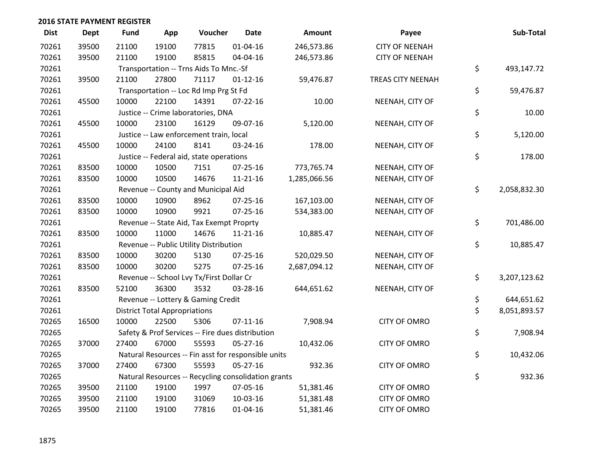| <b>Dist</b> | <b>Dept</b> | <b>Fund</b> | App                                  | Voucher                                             | <b>Date</b>    | Amount       | Payee                    | Sub-Total          |
|-------------|-------------|-------------|--------------------------------------|-----------------------------------------------------|----------------|--------------|--------------------------|--------------------|
| 70261       | 39500       | 21100       | 19100                                | 77815                                               | $01 - 04 - 16$ | 246,573.86   | <b>CITY OF NEENAH</b>    |                    |
| 70261       | 39500       | 21100       | 19100                                | 85815                                               | 04-04-16       | 246,573.86   | <b>CITY OF NEENAH</b>    |                    |
| 70261       |             |             |                                      | Transportation -- Trns Aids To Mnc.-Sf              |                |              |                          | \$<br>493,147.72   |
| 70261       | 39500       | 21100       | 27800                                | 71117                                               | $01 - 12 - 16$ | 59,476.87    | <b>TREAS CITY NEENAH</b> |                    |
| 70261       |             |             |                                      | Transportation -- Loc Rd Imp Prg St Fd              |                |              |                          | \$<br>59,476.87    |
| 70261       | 45500       | 10000       | 22100                                | 14391                                               | $07 - 22 - 16$ | 10.00        | NEENAH, CITY OF          |                    |
| 70261       |             |             |                                      | Justice -- Crime laboratories, DNA                  |                |              |                          | \$<br>10.00        |
| 70261       | 45500       | 10000       | 23100                                | 16129                                               | 09-07-16       | 5,120.00     | NEENAH, CITY OF          |                    |
| 70261       |             |             |                                      | Justice -- Law enforcement train, local             |                |              |                          | \$<br>5,120.00     |
| 70261       | 45500       | 10000       | 24100                                | 8141                                                | 03-24-16       | 178.00       | NEENAH, CITY OF          |                    |
| 70261       |             |             |                                      | Justice -- Federal aid, state operations            |                |              |                          | \$<br>178.00       |
| 70261       | 83500       | 10000       | 10500                                | 7151                                                | $07 - 25 - 16$ | 773,765.74   | NEENAH, CITY OF          |                    |
| 70261       | 83500       | 10000       | 10500                                | 14676                                               | 11-21-16       | 1,285,066.56 | NEENAH, CITY OF          |                    |
| 70261       |             |             |                                      | Revenue -- County and Municipal Aid                 |                |              |                          | \$<br>2,058,832.30 |
| 70261       | 83500       | 10000       | 10900                                | 8962                                                | $07 - 25 - 16$ | 167,103.00   | NEENAH, CITY OF          |                    |
| 70261       | 83500       | 10000       | 10900                                | 9921                                                | 07-25-16       | 534,383.00   | NEENAH, CITY OF          |                    |
| 70261       |             |             |                                      | Revenue -- State Aid, Tax Exempt Proprty            |                |              |                          | \$<br>701,486.00   |
| 70261       | 83500       | 10000       | 11000                                | 14676                                               | $11 - 21 - 16$ | 10,885.47    | NEENAH, CITY OF          |                    |
| 70261       |             |             |                                      | Revenue -- Public Utility Distribution              |                |              |                          | \$<br>10,885.47    |
| 70261       | 83500       | 10000       | 30200                                | 5130                                                | $07 - 25 - 16$ | 520,029.50   | NEENAH, CITY OF          |                    |
| 70261       | 83500       | 10000       | 30200                                | 5275                                                | $07 - 25 - 16$ | 2,687,094.12 | NEENAH, CITY OF          |                    |
| 70261       |             |             |                                      | Revenue -- School Lvy Tx/First Dollar Cr            |                |              |                          | \$<br>3,207,123.62 |
| 70261       | 83500       | 52100       | 36300                                | 3532                                                | 03-28-16       | 644,651.62   | NEENAH, CITY OF          |                    |
| 70261       |             |             |                                      | Revenue -- Lottery & Gaming Credit                  |                |              |                          | \$<br>644,651.62   |
| 70261       |             |             | <b>District Total Appropriations</b> |                                                     |                |              |                          | \$<br>8,051,893.57 |
| 70265       | 16500       | 10000       | 22500                                | 5306                                                | $07-11-16$     | 7,908.94     | <b>CITY OF OMRO</b>      |                    |
| 70265       |             |             |                                      | Safety & Prof Services -- Fire dues distribution    |                |              |                          | \$<br>7,908.94     |
| 70265       | 37000       | 27400       | 67000                                | 55593                                               | $05 - 27 - 16$ | 10,432.06    | <b>CITY OF OMRO</b>      |                    |
| 70265       |             |             |                                      | Natural Resources -- Fin asst for responsible units |                |              |                          | \$<br>10,432.06    |
| 70265       | 37000       | 27400       | 67300                                | 55593                                               | 05-27-16       | 932.36       | <b>CITY OF OMRO</b>      |                    |
| 70265       |             |             |                                      | Natural Resources -- Recycling consolidation grants |                |              |                          | \$<br>932.36       |
| 70265       | 39500       | 21100       | 19100                                | 1997                                                | 07-05-16       | 51,381.46    | <b>CITY OF OMRO</b>      |                    |
| 70265       | 39500       | 21100       | 19100                                | 31069                                               | 10-03-16       | 51,381.48    | <b>CITY OF OMRO</b>      |                    |
| 70265       | 39500       | 21100       | 19100                                | 77816                                               | $01 - 04 - 16$ | 51,381.46    | <b>CITY OF OMRO</b>      |                    |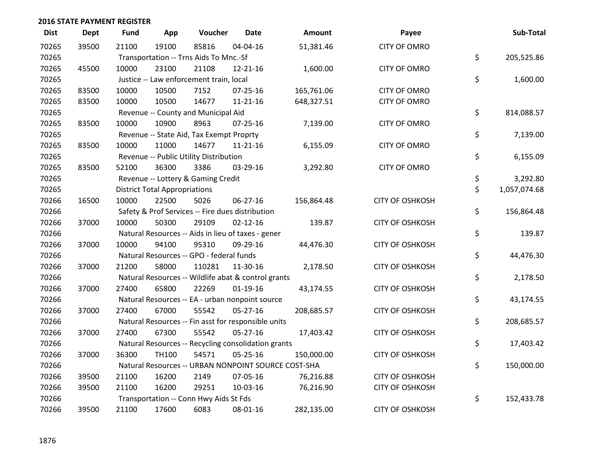| <b>Dist</b> | <b>Dept</b> | Fund  | App                                  | Voucher                                  | <b>Date</b>                                         | Amount                                              | Payee                  | Sub-Total          |
|-------------|-------------|-------|--------------------------------------|------------------------------------------|-----------------------------------------------------|-----------------------------------------------------|------------------------|--------------------|
| 70265       | 39500       | 21100 | 19100                                | 85816                                    | 04-04-16                                            | 51,381.46                                           | <b>CITY OF OMRO</b>    |                    |
| 70265       |             |       |                                      | Transportation -- Trns Aids To Mnc.-Sf   |                                                     |                                                     |                        | \$<br>205,525.86   |
| 70265       | 45500       | 10000 | 23100                                | 21108                                    | 12-21-16                                            | 1,600.00                                            | <b>CITY OF OMRO</b>    |                    |
| 70265       |             |       |                                      | Justice -- Law enforcement train, local  |                                                     |                                                     |                        | \$<br>1,600.00     |
| 70265       | 83500       | 10000 | 10500                                | 7152                                     | $07 - 25 - 16$                                      | 165,761.06                                          | <b>CITY OF OMRO</b>    |                    |
| 70265       | 83500       | 10000 | 10500                                | 14677                                    | $11 - 21 - 16$                                      | 648,327.51                                          | <b>CITY OF OMRO</b>    |                    |
| 70265       |             |       |                                      | Revenue -- County and Municipal Aid      |                                                     |                                                     |                        | \$<br>814,088.57   |
| 70265       | 83500       | 10000 | 10900                                | 8963                                     | $07 - 25 - 16$                                      | 7,139.00                                            | <b>CITY OF OMRO</b>    |                    |
| 70265       |             |       |                                      | Revenue -- State Aid, Tax Exempt Proprty |                                                     |                                                     |                        | \$<br>7,139.00     |
| 70265       | 83500       | 10000 | 11000                                | 14677                                    | $11 - 21 - 16$                                      | 6,155.09                                            | <b>CITY OF OMRO</b>    |                    |
| 70265       |             |       |                                      | Revenue -- Public Utility Distribution   |                                                     |                                                     |                        | \$<br>6,155.09     |
| 70265       | 83500       | 52100 | 36300                                | 3386                                     | 03-29-16                                            | 3,292.80                                            | <b>CITY OF OMRO</b>    |                    |
| 70265       |             |       |                                      | Revenue -- Lottery & Gaming Credit       |                                                     |                                                     |                        | \$<br>3,292.80     |
| 70265       |             |       | <b>District Total Appropriations</b> |                                          |                                                     |                                                     |                        | \$<br>1,057,074.68 |
| 70266       | 16500       | 10000 | 22500                                | 5026                                     | 06-27-16                                            | 156,864.48                                          | <b>CITY OF OSHKOSH</b> |                    |
| 70266       |             |       |                                      |                                          | Safety & Prof Services -- Fire dues distribution    |                                                     |                        | \$<br>156,864.48   |
| 70266       | 37000       | 10000 | 50300                                | 29109                                    | $02 - 12 - 16$                                      | 139.87                                              | <b>CITY OF OSHKOSH</b> |                    |
| 70266       |             |       |                                      |                                          | Natural Resources -- Aids in lieu of taxes - gener  |                                                     |                        | \$<br>139.87       |
| 70266       | 37000       | 10000 | 94100                                | 95310                                    | 09-29-16                                            | 44,476.30                                           | <b>CITY OF OSHKOSH</b> |                    |
| 70266       |             |       |                                      | Natural Resources -- GPO - federal funds |                                                     |                                                     |                        | \$<br>44,476.30    |
| 70266       | 37000       | 21200 | 58000                                | 110281                                   | 11-30-16                                            | 2,178.50                                            | <b>CITY OF OSHKOSH</b> |                    |
| 70266       |             |       |                                      |                                          | Natural Resources -- Wildlife abat & control grants |                                                     |                        | \$<br>2,178.50     |
| 70266       | 37000       | 27400 | 65800                                | 22269                                    | $01-19-16$                                          | 43,174.55                                           | <b>CITY OF OSHKOSH</b> |                    |
| 70266       |             |       |                                      |                                          | Natural Resources -- EA - urban nonpoint source     |                                                     |                        | \$<br>43,174.55    |
| 70266       | 37000       | 27400 | 67000                                | 55542                                    | $05 - 27 - 16$                                      | 208,685.57                                          | <b>CITY OF OSHKOSH</b> |                    |
| 70266       |             |       |                                      |                                          | Natural Resources -- Fin asst for responsible units |                                                     |                        | \$<br>208,685.57   |
| 70266       | 37000       | 27400 | 67300                                | 55542                                    | 05-27-16                                            | 17,403.42                                           | <b>CITY OF OSHKOSH</b> |                    |
| 70266       |             |       |                                      |                                          | Natural Resources -- Recycling consolidation grants |                                                     |                        | \$<br>17,403.42    |
| 70266       | 37000       | 36300 | TH100                                | 54571                                    | 05-25-16                                            | 150,000.00                                          | <b>CITY OF OSHKOSH</b> |                    |
| 70266       |             |       |                                      |                                          |                                                     | Natural Resources -- URBAN NONPOINT SOURCE COST-SHA |                        | \$<br>150,000.00   |
| 70266       | 39500       | 21100 | 16200                                | 2149                                     | 07-05-16                                            | 76,216.88                                           | <b>CITY OF OSHKOSH</b> |                    |
| 70266       | 39500       | 21100 | 16200                                | 29251                                    | 10-03-16                                            | 76,216.90                                           | <b>CITY OF OSHKOSH</b> |                    |
| 70266       |             |       |                                      | Transportation -- Conn Hwy Aids St Fds   |                                                     |                                                     |                        | \$<br>152,433.78   |
| 70266       | 39500       | 21100 | 17600                                | 6083                                     | 08-01-16                                            | 282,135.00                                          | <b>CITY OF OSHKOSH</b> |                    |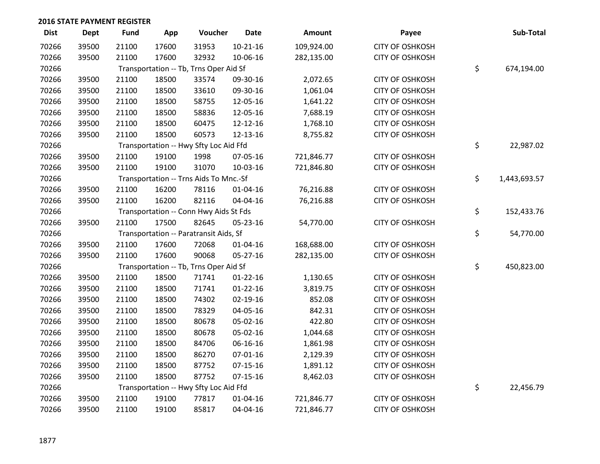| <b>Dist</b> | <b>Dept</b> | <b>Fund</b>                            | App                                    | Voucher                                | <b>Date</b>    | Amount     | Payee                  |    | Sub-Total  |
|-------------|-------------|----------------------------------------|----------------------------------------|----------------------------------------|----------------|------------|------------------------|----|------------|
| 70266       | 39500       | 21100                                  | 17600                                  | 31953                                  | $10 - 21 - 16$ | 109,924.00 | <b>CITY OF OSHKOSH</b> |    |            |
| 70266       | 39500       | 21100                                  | 17600                                  | 32932                                  | 10-06-16       | 282,135.00 | <b>CITY OF OSHKOSH</b> |    |            |
| 70266       |             | Transportation -- Tb, Trns Oper Aid Sf | \$                                     | 674,194.00                             |                |            |                        |    |            |
| 70266       | 39500       | 21100                                  | 18500                                  | 33574                                  | 09-30-16       | 2,072.65   | <b>CITY OF OSHKOSH</b> |    |            |
| 70266       | 39500       | 21100                                  | 18500                                  | 33610                                  | 09-30-16       | 1,061.04   | <b>CITY OF OSHKOSH</b> |    |            |
| 70266       | 39500       | 21100                                  | 18500                                  | 58755                                  | 12-05-16       | 1,641.22   | <b>CITY OF OSHKOSH</b> |    |            |
| 70266       | 39500       | 21100                                  | 18500                                  | 58836                                  | 12-05-16       | 7,688.19   | <b>CITY OF OSHKOSH</b> |    |            |
| 70266       | 39500       | 21100                                  | 18500                                  | 60475                                  | 12-12-16       | 1,768.10   | <b>CITY OF OSHKOSH</b> |    |            |
| 70266       | 39500       | 21100                                  | 18500                                  | 60573                                  | 12-13-16       | 8,755.82   | <b>CITY OF OSHKOSH</b> |    |            |
| 70266       |             | Transportation -- Hwy Sfty Loc Aid Ffd | \$                                     | 22,987.02                              |                |            |                        |    |            |
| 70266       | 39500       | 21100                                  | 19100                                  | 1998                                   | 07-05-16       | 721,846.77 | <b>CITY OF OSHKOSH</b> |    |            |
| 70266       | 39500       | 21100                                  | 19100                                  | 31070                                  | 10-03-16       | 721,846.80 | <b>CITY OF OSHKOSH</b> |    |            |
| 70266       |             | Transportation -- Trns Aids To Mnc.-Sf | \$                                     | 1,443,693.57                           |                |            |                        |    |            |
| 70266       | 39500       | 21100                                  | 16200                                  | 78116                                  | $01 - 04 - 16$ | 76,216.88  | <b>CITY OF OSHKOSH</b> |    |            |
| 70266       | 39500       | 21100                                  | 16200                                  | 82116                                  | 04-04-16       | 76,216.88  | <b>CITY OF OSHKOSH</b> |    |            |
| 70266       |             | Transportation -- Conn Hwy Aids St Fds |                                        |                                        |                |            |                        |    | 152,433.76 |
| 70266       | 39500       | 21100                                  | 17500                                  | 82645                                  | 05-23-16       | 54,770.00  | <b>CITY OF OSHKOSH</b> |    |            |
| 70266       |             |                                        | Transportation -- Paratransit Aids, Sf | \$                                     | 54,770.00      |            |                        |    |            |
| 70266       | 39500       | 21100                                  | 17600                                  | 72068                                  | 01-04-16       | 168,688.00 | <b>CITY OF OSHKOSH</b> |    |            |
| 70266       | 39500       | 21100                                  | 17600                                  | 90068                                  | 05-27-16       | 282,135.00 | <b>CITY OF OSHKOSH</b> |    |            |
| 70266       |             | Transportation -- Tb, Trns Oper Aid Sf |                                        |                                        |                |            |                        |    | 450,823.00 |
| 70266       | 39500       | 21100                                  | 18500                                  | 71741                                  | $01 - 22 - 16$ | 1,130.65   | <b>CITY OF OSHKOSH</b> |    |            |
| 70266       | 39500       | 21100                                  | 18500                                  | 71741                                  | $01 - 22 - 16$ | 3,819.75   | <b>CITY OF OSHKOSH</b> |    |            |
| 70266       | 39500       | 21100                                  | 18500                                  | 74302                                  | 02-19-16       | 852.08     | <b>CITY OF OSHKOSH</b> |    |            |
| 70266       | 39500       | 21100                                  | 18500                                  | 78329                                  | 04-05-16       | 842.31     | <b>CITY OF OSHKOSH</b> |    |            |
| 70266       | 39500       | 21100                                  | 18500                                  | 80678                                  | 05-02-16       | 422.80     | <b>CITY OF OSHKOSH</b> |    |            |
| 70266       | 39500       | 21100                                  | 18500                                  | 80678                                  | 05-02-16       | 1,044.68   | <b>CITY OF OSHKOSH</b> |    |            |
| 70266       | 39500       | 21100                                  | 18500                                  | 84706                                  | 06-16-16       | 1,861.98   | <b>CITY OF OSHKOSH</b> |    |            |
| 70266       | 39500       | 21100                                  | 18500                                  | 86270                                  | $07 - 01 - 16$ | 2,129.39   | <b>CITY OF OSHKOSH</b> |    |            |
| 70266       | 39500       | 21100                                  | 18500                                  | 87752                                  | $07-15-16$     | 1,891.12   | <b>CITY OF OSHKOSH</b> |    |            |
| 70266       | 39500       | 21100                                  | 18500                                  | 87752                                  | $07 - 15 - 16$ | 8,462.03   | <b>CITY OF OSHKOSH</b> |    |            |
| 70266       |             |                                        |                                        | Transportation -- Hwy Sfty Loc Aid Ffd |                |            |                        | \$ | 22,456.79  |
| 70266       | 39500       | 21100                                  | 19100                                  | 77817                                  | $01 - 04 - 16$ | 721,846.77 | <b>CITY OF OSHKOSH</b> |    |            |
| 70266       | 39500       | 21100                                  | 19100                                  | 85817                                  | 04-04-16       | 721,846.77 | <b>CITY OF OSHKOSH</b> |    |            |